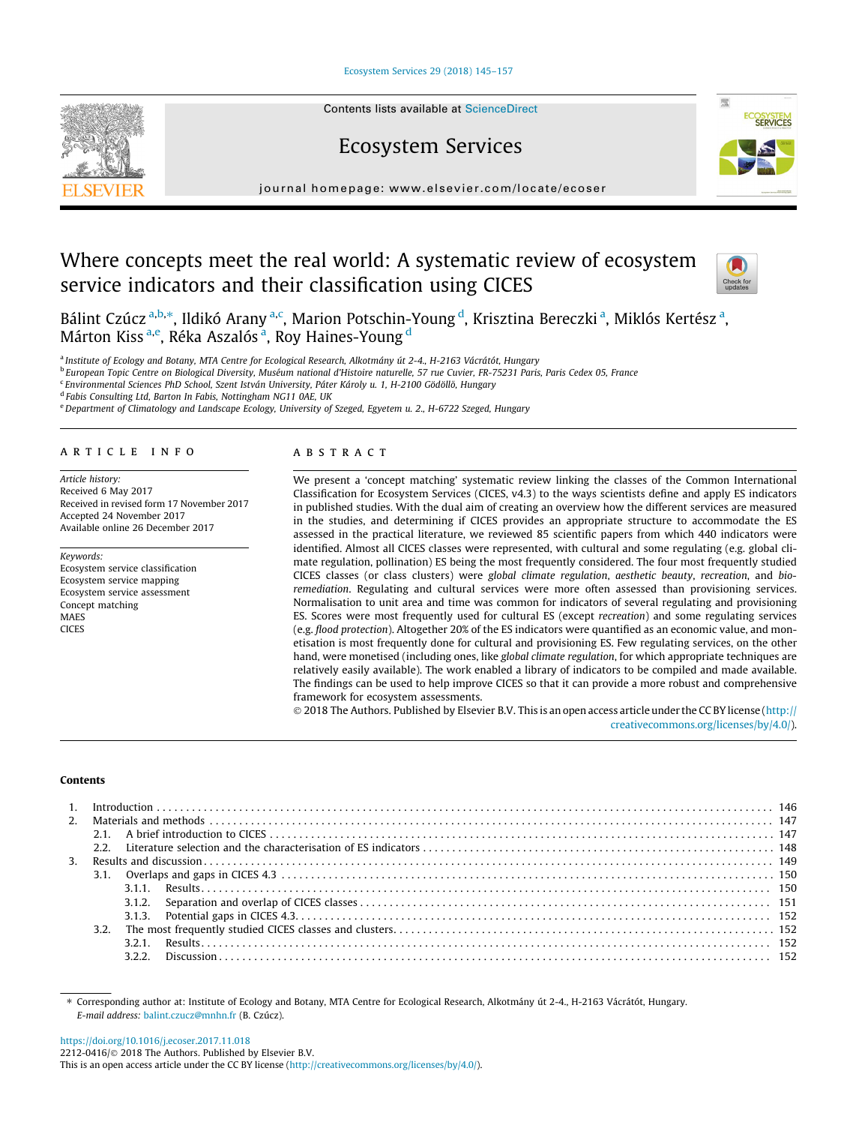# [Ecosystem Services 29 \(2018\) 145–157](https://doi.org/10.1016/j.ecoser.2017.11.018)



# Ecosystem Services



journal homepage: [www.elsevier.com/locate/ecoser](http://www.elsevier.com/locate/ecoser)

# Where concepts meet the real world: A systematic review of ecosystem service indicators and their classification using CICES



Bálint Czúcz <sup>a,b,</sup>\*, Ildikó Arany <sup>a,c</sup>, Marion Potschin-Young <sup>d</sup>, Krisztina Bereczki <sup>a</sup>, Miklós Kertész <sup>a</sup>, Márton Kiss <sup>a,e</sup>, Réka Aszalós <sup>a</sup>, Roy Haines-Young <sup>d</sup>

a Institute of Ecology and Botany, MTA Centre for Ecological Research, Alkotmány út 2-4., H-2163 Vácrátót, Hungary

<sup>b</sup> European Topic Centre on Biological Diversity, Muséum national d'Histoire naturelle, 57 rue Cuvier, FR-75231 Paris, Paris Cedex 05, France

<sup>c</sup> Environmental Sciences PhD School, Szent István University, Páter Károly u. 1, H-2100 Gödöllő, Hungary

<sup>d</sup> Fabis Consulting Ltd, Barton In Fabis, Nottingham NG11 0AE, UK

e Department of Climatology and Landscape Ecology, University of Szeged, Egyetem u. 2., H-6722 Szeged, Hungary

# article info

Article history: Received 6 May 2017 Received in revised form 17 November 2017 Accepted 24 November 2017 Available online 26 December 2017

Keywords: Ecosystem service classification Ecosystem service mapping Ecosystem service assessment Concept matching **MAFS** CICES

# ABSTRACT

We present a 'concept matching' systematic review linking the classes of the Common International Classification for Ecosystem Services (CICES, v4.3) to the ways scientists define and apply ES indicators in published studies. With the dual aim of creating an overview how the different services are measured in the studies, and determining if CICES provides an appropriate structure to accommodate the ES assessed in the practical literature, we reviewed 85 scientific papers from which 440 indicators were identified. Almost all CICES classes were represented, with cultural and some regulating (e.g. global climate regulation, pollination) ES being the most frequently considered. The four most frequently studied CICES classes (or class clusters) were global climate regulation, aesthetic beauty, recreation, and bioremediation. Regulating and cultural services were more often assessed than provisioning services. Normalisation to unit area and time was common for indicators of several regulating and provisioning ES. Scores were most frequently used for cultural ES (except recreation) and some regulating services (e.g. flood protection). Altogether 20% of the ES indicators were quantified as an economic value, and monetisation is most frequently done for cultural and provisioning ES. Few regulating services, on the other hand, were monetised (including ones, like global climate regulation, for which appropriate techniques are relatively easily available). The work enabled a library of indicators to be compiled and made available. The findings can be used to help improve CICES so that it can provide a more robust and comprehensive framework for ecosystem assessments.

 2018 The Authors. Published by Elsevier B.V. This is an open access article under the CC BY license ([http://](http://creativecommons.org/licenses/by/4.0/) [creativecommons.org/licenses/by/4.0/](http://creativecommons.org/licenses/by/4.0/)).

# Contents

| $\mathcal{P}$ |  |  |  |  |  |  |  |
|---------------|--|--|--|--|--|--|--|
|               |  |  |  |  |  |  |  |
|               |  |  |  |  |  |  |  |
|               |  |  |  |  |  |  |  |
|               |  |  |  |  |  |  |  |
|               |  |  |  |  |  |  |  |
|               |  |  |  |  |  |  |  |
|               |  |  |  |  |  |  |  |
|               |  |  |  |  |  |  |  |
|               |  |  |  |  |  |  |  |
|               |  |  |  |  |  |  |  |

⇑ Corresponding author at: Institute of Ecology and Botany, MTA Centre for Ecological Research, Alkotmány út 2-4., H-2163 Vácrátót, Hungary. E-mail address: [balint.czucz@mnhn.fr](mailto:balint.czucz@mnhn.fr) (B. Czúcz).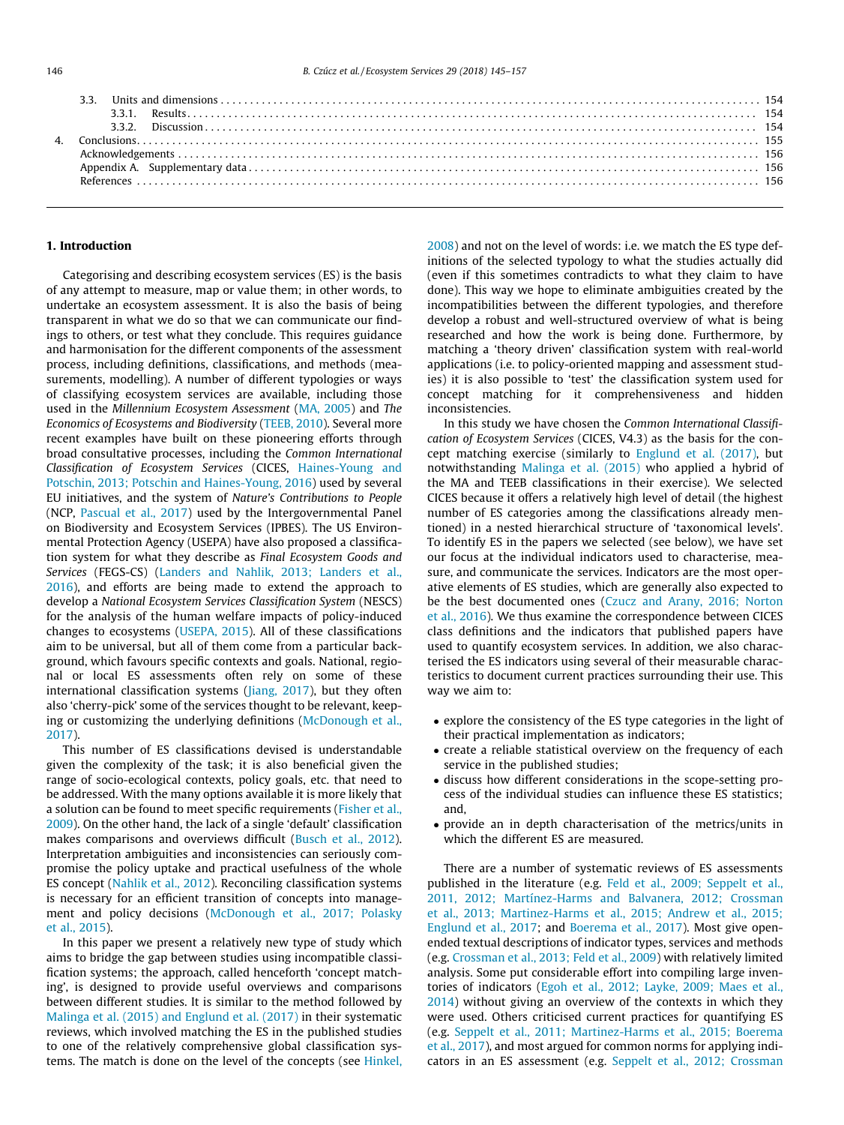# 1. Introduction

Categorising and describing ecosystem services (ES) is the basis of any attempt to measure, map or value them; in other words, to undertake an ecosystem assessment. It is also the basis of being transparent in what we do so that we can communicate our findings to others, or test what they conclude. This requires guidance and harmonisation for the different components of the assessment process, including definitions, classifications, and methods (measurements, modelling). A number of different typologies or ways of classifying ecosystem services are available, including those used in the Millennium Ecosystem Assessment ([MA, 2005\)](#page-12-0) and The Economics of Ecosystems and Biodiversity ([TEEB, 2010\)](#page-12-0). Several more recent examples have built on these pioneering efforts through broad consultative processes, including the Common International Classification of Ecosystem Services (CICES, [Haines-Young and](#page-11-0) [Potschin, 2013; Potschin and Haines-Young, 2016](#page-11-0)) used by several EU initiatives, and the system of Nature's Contributions to People (NCP, [Pascual et al., 2017](#page-12-0)) used by the Intergovernmental Panel on Biodiversity and Ecosystem Services (IPBES). The US Environmental Protection Agency (USEPA) have also proposed a classification system for what they describe as Final Ecosystem Goods and Services (FEGS-CS) [\(Landers and Nahlik, 2013; Landers et al.,](#page-12-0) [2016\)](#page-12-0), and efforts are being made to extend the approach to develop a National Ecosystem Services Classification System (NESCS) for the analysis of the human welfare impacts of policy-induced changes to ecosystems ([USEPA, 2015\)](#page-12-0). All of these classifications aim to be universal, but all of them come from a particular background, which favours specific contexts and goals. National, regional or local ES assessments often rely on some of these international classification systems [\(Jiang, 2017](#page-12-0)), but they often also 'cherry-pick' some of the services thought to be relevant, keeping or customizing the underlying definitions ([McDonough et al.,](#page-12-0) [2017\)](#page-12-0).

This number of ES classifications devised is understandable given the complexity of the task; it is also beneficial given the range of socio-ecological contexts, policy goals, etc. that need to be addressed. With the many options available it is more likely that a solution can be found to meet specific requirements [\(Fisher et al.,](#page-11-0) [2009\)](#page-11-0). On the other hand, the lack of a single 'default' classification makes comparisons and overviews difficult [\(Busch et al., 2012\)](#page-11-0). Interpretation ambiguities and inconsistencies can seriously compromise the policy uptake and practical usefulness of the whole ES concept [\(Nahlik et al., 2012\)](#page-12-0). Reconciling classification systems is necessary for an efficient transition of concepts into management and policy decisions [\(McDonough et al., 2017; Polasky](#page-12-0) [et al., 2015\)](#page-12-0).

In this paper we present a relatively new type of study which aims to bridge the gap between studies using incompatible classification systems; the approach, called henceforth 'concept matching', is designed to provide useful overviews and comparisons between different studies. It is similar to the method followed by [Malinga et al. \(2015\) and Englund et al. \(2017\)](#page-12-0) in their systematic reviews, which involved matching the ES in the published studies to one of the relatively comprehensive global classification systems. The match is done on the level of the concepts (see [Hinkel,](#page-11-0) [2008\)](#page-11-0) and not on the level of words: i.e. we match the ES type definitions of the selected typology to what the studies actually did (even if this sometimes contradicts to what they claim to have done). This way we hope to eliminate ambiguities created by the incompatibilities between the different typologies, and therefore develop a robust and well-structured overview of what is being researched and how the work is being done. Furthermore, by matching a 'theory driven' classification system with real-world applications (i.e. to policy-oriented mapping and assessment studies) it is also possible to 'test' the classification system used for concept matching for it comprehensiveness and hidden inconsistencies.

In this study we have chosen the Common International Classification of Ecosystem Services (CICES, V4.3) as the basis for the concept matching exercise (similarly to [Englund et al. \(2017\),](#page-11-0) but notwithstanding [Malinga et al. \(2015\)](#page-12-0) who applied a hybrid of the MA and TEEB classifications in their exercise). We selected CICES because it offers a relatively high level of detail (the highest number of ES categories among the classifications already mentioned) in a nested hierarchical structure of 'taxonomical levels'. To identify ES in the papers we selected (see below), we have set our focus at the individual indicators used to characterise, measure, and communicate the services. Indicators are the most operative elements of ES studies, which are generally also expected to be the best documented ones [\(Czucz and Arany, 2016; Norton](#page-11-0) [et al., 2016](#page-11-0)). We thus examine the correspondence between CICES class definitions and the indicators that published papers have used to quantify ecosystem services. In addition, we also characterised the ES indicators using several of their measurable characteristics to document current practices surrounding their use. This way we aim to:

- explore the consistency of the ES type categories in the light of their practical implementation as indicators;
- create a reliable statistical overview on the frequency of each service in the published studies;
- discuss how different considerations in the scope-setting process of the individual studies can influence these ES statistics; and,
- provide an in depth characterisation of the metrics/units in which the different ES are measured.

There are a number of systematic reviews of ES assessments published in the literature (e.g. [Feld et al., 2009; Seppelt et al.,](#page-11-0) [2011, 2012; Martínez-Harms and Balvanera, 2012; Crossman](#page-11-0) [et al., 2013; Martinez-Harms et al., 2015; Andrew et al., 2015;](#page-11-0) [Englund et al., 2017](#page-11-0); and [Boerema et al., 2017\)](#page-11-0). Most give openended textual descriptions of indicator types, services and methods (e.g. [Crossman et al., 2013; Feld et al., 2009](#page-11-0)) with relatively limited analysis. Some put considerable effort into compiling large inventories of indicators [\(Egoh et al., 2012; Layke, 2009; Maes et al.,](#page-11-0) [2014\)](#page-11-0) without giving an overview of the contexts in which they were used. Others criticised current practices for quantifying ES (e.g. [Seppelt et al., 2011; Martinez-Harms et al., 2015; Boerema](#page-12-0) [et al., 2017](#page-12-0)), and most argued for common norms for applying indicators in an ES assessment (e.g. [Seppelt et al., 2012; Crossman](#page-12-0)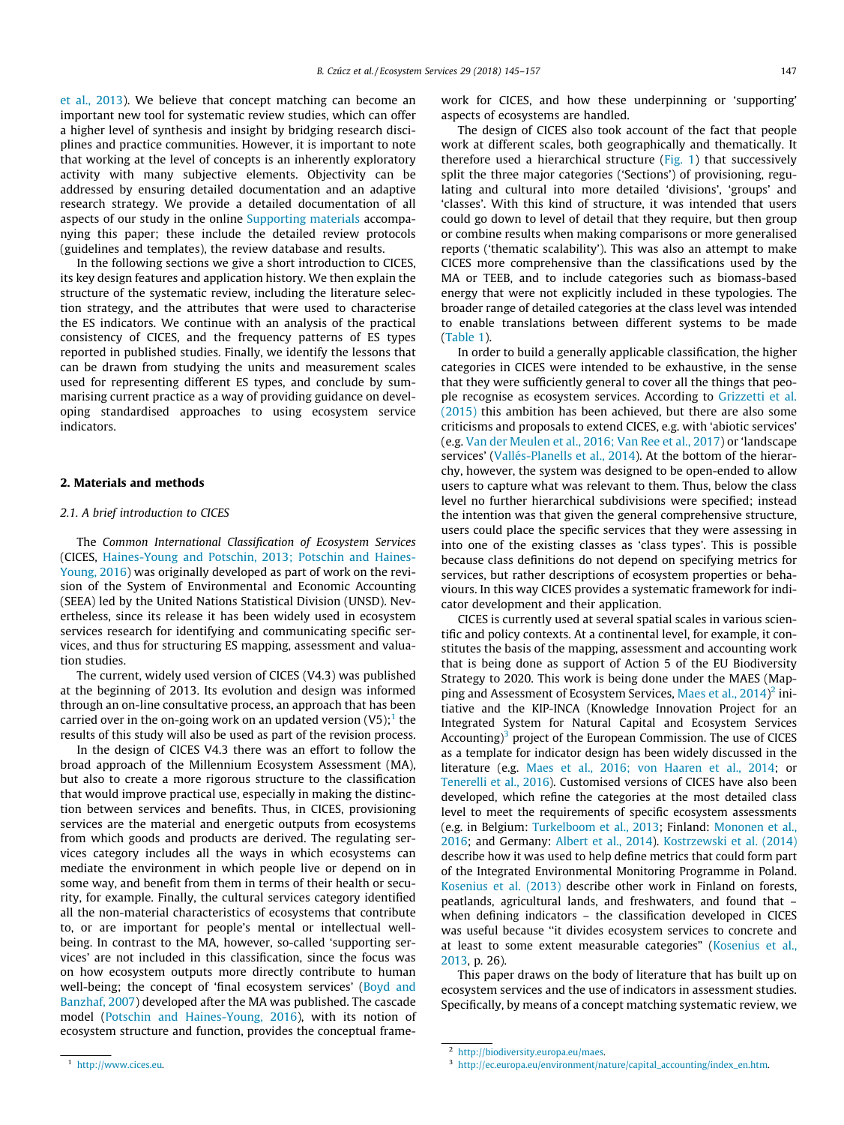[et al., 2013\)](#page-12-0). We believe that concept matching can become an important new tool for systematic review studies, which can offer a higher level of synthesis and insight by bridging research disciplines and practice communities. However, it is important to note that working at the level of concepts is an inherently exploratory activity with many subjective elements. Objectivity can be addressed by ensuring detailed documentation and an adaptive research strategy. We provide a detailed documentation of all aspects of our study in the online Supporting materials accompanying this paper; these include the detailed review protocols (guidelines and templates), the review database and results.

In the following sections we give a short introduction to CICES, its key design features and application history. We then explain the structure of the systematic review, including the literature selection strategy, and the attributes that were used to characterise the ES indicators. We continue with an analysis of the practical consistency of CICES, and the frequency patterns of ES types reported in published studies. Finally, we identify the lessons that can be drawn from studying the units and measurement scales used for representing different ES types, and conclude by summarising current practice as a way of providing guidance on developing standardised approaches to using ecosystem service indicators.

# 2. Materials and methods

# 2.1. A brief introduction to CICES

The Common International Classification of Ecosystem Services (CICES, [Haines-Young and Potschin, 2013; Potschin and Haines-](#page-11-0)[Young, 2016](#page-11-0)) was originally developed as part of work on the revision of the System of Environmental and Economic Accounting (SEEA) led by the United Nations Statistical Division (UNSD). Nevertheless, since its release it has been widely used in ecosystem services research for identifying and communicating specific services, and thus for structuring ES mapping, assessment and valuation studies.

The current, widely used version of CICES (V4.3) was published at the beginning of 2013. Its evolution and design was informed through an on-line consultative process, an approach that has been carried over in the on-going work on an updated version  $(V5)$ ;<sup>1</sup> the results of this study will also be used as part of the revision process.

In the design of CICES V4.3 there was an effort to follow the broad approach of the Millennium Ecosystem Assessment (MA), but also to create a more rigorous structure to the classification that would improve practical use, especially in making the distinction between services and benefits. Thus, in CICES, provisioning services are the material and energetic outputs from ecosystems from which goods and products are derived. The regulating services category includes all the ways in which ecosystems can mediate the environment in which people live or depend on in some way, and benefit from them in terms of their health or security, for example. Finally, the cultural services category identified all the non-material characteristics of ecosystems that contribute to, or are important for people's mental or intellectual wellbeing. In contrast to the MA, however, so-called 'supporting services' are not included in this classification, since the focus was on how ecosystem outputs more directly contribute to human well-being; the concept of 'final ecosystem services' ([Boyd and](#page-11-0) [Banzhaf, 2007](#page-11-0)) developed after the MA was published. The cascade model [\(Potschin and Haines-Young, 2016\)](#page-12-0), with its notion of ecosystem structure and function, provides the conceptual frame-

<sup>1</sup> <http://www.cices.eu>.

work for CICES, and how these underpinning or 'supporting' aspects of ecosystems are handled.

The design of CICES also took account of the fact that people work at different scales, both geographically and thematically. It therefore used a hierarchical structure [\(Fig. 1\)](#page-3-0) that successively split the three major categories ('Sections') of provisioning, regulating and cultural into more detailed 'divisions', 'groups' and 'classes'. With this kind of structure, it was intended that users could go down to level of detail that they require, but then group or combine results when making comparisons or more generalised reports ('thematic scalability'). This was also an attempt to make CICES more comprehensive than the classifications used by the MA or TEEB, and to include categories such as biomass-based energy that were not explicitly included in these typologies. The broader range of detailed categories at the class level was intended to enable translations between different systems to be made ([Table 1](#page-4-0)).

In order to build a generally applicable classification, the higher categories in CICES were intended to be exhaustive, in the sense that they were sufficiently general to cover all the things that people recognise as ecosystem services. According to [Grizzetti et al.](#page-11-0) [\(2015\)](#page-11-0) this ambition has been achieved, but there are also some criticisms and proposals to extend CICES, e.g. with 'abiotic services' (e.g. [Van der Meulen et al., 2016; Van Ree et al., 2017](#page-12-0)) or 'landscape services' ([Vallés-Planells et al., 2014](#page-12-0)). At the bottom of the hierarchy, however, the system was designed to be open-ended to allow users to capture what was relevant to them. Thus, below the class level no further hierarchical subdivisions were specified; instead the intention was that given the general comprehensive structure, users could place the specific services that they were assessing in into one of the existing classes as 'class types'. This is possible because class definitions do not depend on specifying metrics for services, but rather descriptions of ecosystem properties or behaviours. In this way CICES provides a systematic framework for indicator development and their application.

CICES is currently used at several spatial scales in various scientific and policy contexts. At a continental level, for example, it constitutes the basis of the mapping, assessment and accounting work that is being done as support of Action 5 of the EU Biodiversity Strategy to 2020. This work is being done under the MAES (Mapping and Assessment of Ecosystem Services, Maes et al.,  $2014$ <sup>2</sup> initiative and the KIP-INCA (Knowledge Innovation Project for an Integrated System for Natural Capital and Ecosystem Services Accounting $3^3$  project of the European Commission. The use of CICES as a template for indicator design has been widely discussed in the literature (e.g. [Maes et al., 2016; von Haaren et al., 2014;](#page-12-0) or [Tenerelli et al., 2016\)](#page-12-0). Customised versions of CICES have also been developed, which refine the categories at the most detailed class level to meet the requirements of specific ecosystem assessments (e.g. in Belgium: [Turkelboom et al., 2013](#page-12-0); Finland: [Mononen et al.,](#page-12-0) [2016;](#page-12-0) and Germany: [Albert et al., 2014\)](#page-11-0). [Kostrzewski et al. \(2014\)](#page-12-0) describe how it was used to help define metrics that could form part of the Integrated Environmental Monitoring Programme in Poland. [Kosenius et al. \(2013\)](#page-12-0) describe other work in Finland on forests, peatlands, agricultural lands, and freshwaters, and found that – when defining indicators – the classification developed in CICES was useful because ''it divides ecosystem services to concrete and at least to some extent measurable categories" [\(Kosenius et al.,](#page-12-0) [2013,](#page-12-0) p. 26).

This paper draws on the body of literature that has built up on ecosystem services and the use of indicators in assessment studies. Specifically, by means of a concept matching systematic review, we

<sup>2</sup> <http://biodiversity.europa.eu/maes>.

<sup>3</sup> [http://ec.europa.eu/environment/nature/capital\\_accounting/index\\_en.htm.](http://ec.europa.eu/environment/nature/capital_accounting/index_en.htm)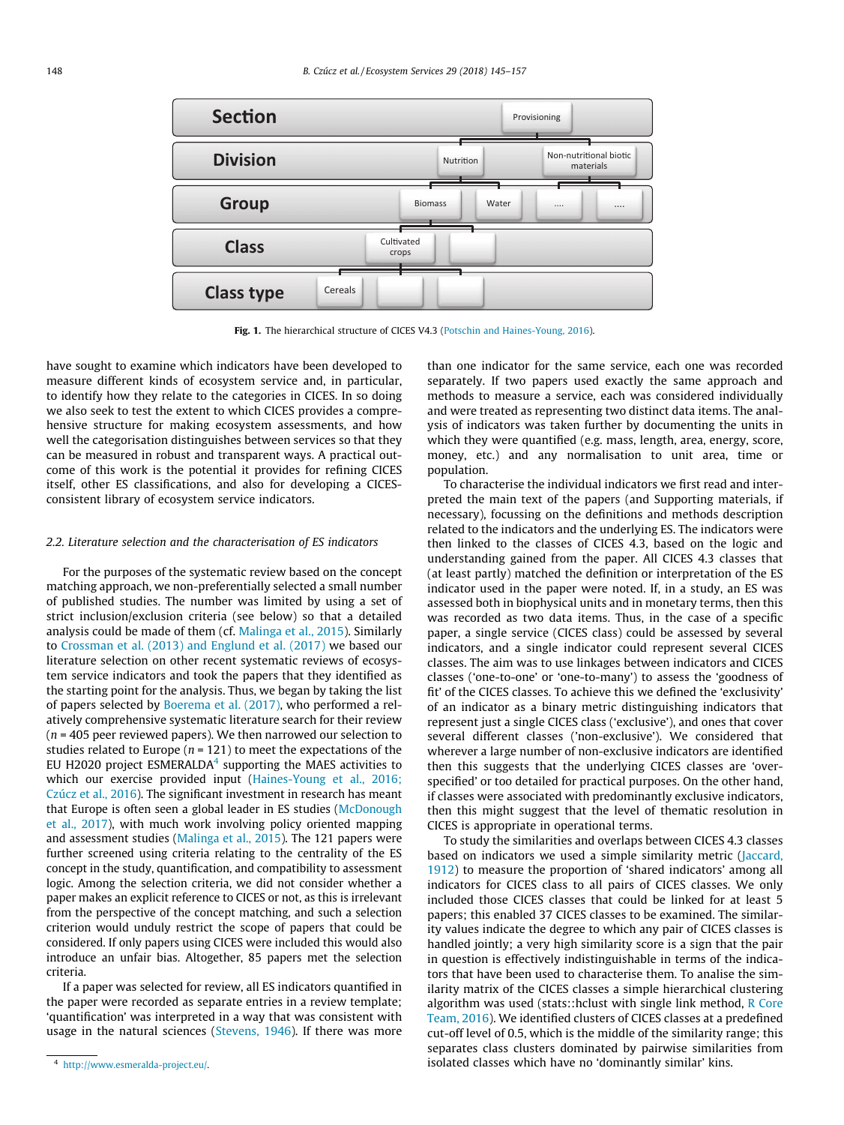<span id="page-3-0"></span>

Fig. 1. The hierarchical structure of CICES V4.3 [\(Potschin and Haines-Young, 2016\)](#page-12-0).

have sought to examine which indicators have been developed to measure different kinds of ecosystem service and, in particular, to identify how they relate to the categories in CICES. In so doing we also seek to test the extent to which CICES provides a comprehensive structure for making ecosystem assessments, and how well the categorisation distinguishes between services so that they can be measured in robust and transparent ways. A practical outcome of this work is the potential it provides for refining CICES itself, other ES classifications, and also for developing a CICESconsistent library of ecosystem service indicators.

# 2.2. Literature selection and the characterisation of ES indicators

For the purposes of the systematic review based on the concept matching approach, we non-preferentially selected a small number of published studies. The number was limited by using a set of strict inclusion/exclusion criteria (see below) so that a detailed analysis could be made of them (cf. [Malinga et al., 2015\)](#page-12-0). Similarly to [Crossman et al. \(2013\) and Englund et al. \(2017\)](#page-11-0) we based our literature selection on other recent systematic reviews of ecosystem service indicators and took the papers that they identified as the starting point for the analysis. Thus, we began by taking the list of papers selected by [Boerema et al. \(2017\),](#page-11-0) who performed a relatively comprehensive systematic literature search for their review  $(n = 405$  peer reviewed papers). We then narrowed our selection to studies related to Europe ( $n = 121$ ) to meet the expectations of the EU H2020 project  $ESMERALDA<sup>4</sup>$  supporting the MAES activities to which our exercise provided input [\(Haines-Young et al., 2016;](#page-11-0) [Czúcz et al., 2016](#page-11-0)). The significant investment in research has meant that Europe is often seen a global leader in ES studies [\(McDonough](#page-12-0) [et al., 2017](#page-12-0)), with much work involving policy oriented mapping and assessment studies [\(Malinga et al., 2015](#page-12-0)). The 121 papers were further screened using criteria relating to the centrality of the ES concept in the study, quantification, and compatibility to assessment logic. Among the selection criteria, we did not consider whether a paper makes an explicit reference to CICES or not, as this is irrelevant from the perspective of the concept matching, and such a selection criterion would unduly restrict the scope of papers that could be considered. If only papers using CICES were included this would also introduce an unfair bias. Altogether, 85 papers met the selection criteria.

If a paper was selected for review, all ES indicators quantified in the paper were recorded as separate entries in a review template; 'quantification' was interpreted in a way that was consistent with usage in the natural sciences [\(Stevens, 1946](#page-12-0)). If there was more

than one indicator for the same service, each one was recorded separately. If two papers used exactly the same approach and methods to measure a service, each was considered individually and were treated as representing two distinct data items. The analysis of indicators was taken further by documenting the units in which they were quantified (e.g. mass, length, area, energy, score, money, etc.) and any normalisation to unit area, time or population.

To characterise the individual indicators we first read and interpreted the main text of the papers (and Supporting materials, if necessary), focussing on the definitions and methods description related to the indicators and the underlying ES. The indicators were then linked to the classes of CICES 4.3, based on the logic and understanding gained from the paper. All CICES 4.3 classes that (at least partly) matched the definition or interpretation of the ES indicator used in the paper were noted. If, in a study, an ES was assessed both in biophysical units and in monetary terms, then this was recorded as two data items. Thus, in the case of a specific paper, a single service (CICES class) could be assessed by several indicators, and a single indicator could represent several CICES classes. The aim was to use linkages between indicators and CICES classes ('one-to-one' or 'one-to-many') to assess the 'goodness of fit' of the CICES classes. To achieve this we defined the 'exclusivity' of an indicator as a binary metric distinguishing indicators that represent just a single CICES class ('exclusive'), and ones that cover several different classes ('non-exclusive'). We considered that wherever a large number of non-exclusive indicators are identified then this suggests that the underlying CICES classes are 'overspecified' or too detailed for practical purposes. On the other hand, if classes were associated with predominantly exclusive indicators, then this might suggest that the level of thematic resolution in CICES is appropriate in operational terms.

To study the similarities and overlaps between CICES 4.3 classes based on indicators we used a simple similarity metric ([Jaccard,](#page-12-0) [1912\)](#page-12-0) to measure the proportion of 'shared indicators' among all indicators for CICES class to all pairs of CICES classes. We only included those CICES classes that could be linked for at least 5 papers; this enabled 37 CICES classes to be examined. The similarity values indicate the degree to which any pair of CICES classes is handled jointly; a very high similarity score is a sign that the pair in question is effectively indistinguishable in terms of the indicators that have been used to characterise them. To analise the similarity matrix of the CICES classes a simple hierarchical clustering algorithm was used (stats::hclust with single link method, [R Core](#page-12-0) [Team, 2016](#page-12-0)). We identified clusters of CICES classes at a predefined cut-off level of 0.5, which is the middle of the similarity range; this separates class clusters dominated by pairwise similarities from isolated classes which have no 'dominantly similar' kins.

<sup>4</sup> <http://www.esmeralda-project.eu/>.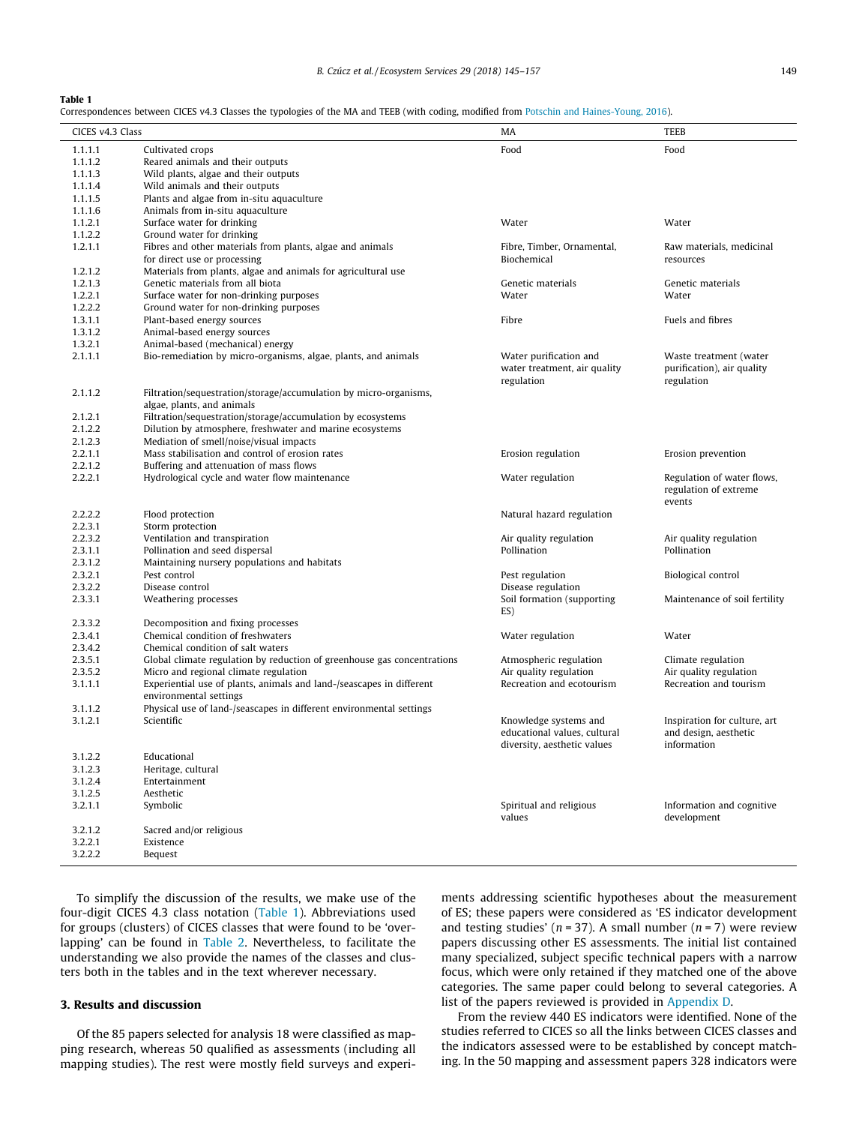<span id="page-4-0"></span>Correspondences between CICES v4.3 Classes the typologies of the MA and TEEB (with coding, modified from [Potschin and Haines-Young, 2016\)](#page-12-0).

| CICES v4.3 Class | Correspondences between Cicls v+.5 Classes the typologies of the ival and TLED (With countg, modified from Fotschin and Hames-Toung, 2010) | MA                                                          | TEEB                                                          |  |  |
|------------------|--------------------------------------------------------------------------------------------------------------------------------------------|-------------------------------------------------------------|---------------------------------------------------------------|--|--|
| 1.1.1.1          | Cultivated crops                                                                                                                           | Food                                                        | Food                                                          |  |  |
| 1.1.1.2          | Reared animals and their outputs                                                                                                           |                                                             |                                                               |  |  |
| 1.1.1.3          | Wild plants, algae and their outputs                                                                                                       |                                                             |                                                               |  |  |
| 1.1.1.4          | Wild animals and their outputs                                                                                                             |                                                             |                                                               |  |  |
| 1.1.1.5          | Plants and algae from in-situ aquaculture                                                                                                  |                                                             |                                                               |  |  |
| 1.1.1.6          | Animals from in-situ aquaculture                                                                                                           |                                                             |                                                               |  |  |
| 1.1.2.1          | Surface water for drinking                                                                                                                 | Water                                                       | Water                                                         |  |  |
| 1.1.2.2          | Ground water for drinking                                                                                                                  |                                                             |                                                               |  |  |
| 1.2.1.1          | Fibres and other materials from plants, algae and animals                                                                                  | Fibre, Timber, Ornamental,                                  | Raw materials, medicinal                                      |  |  |
|                  | for direct use or processing                                                                                                               | Biochemical                                                 | resources                                                     |  |  |
| 1.2.1.2          | Materials from plants, algae and animals for agricultural use                                                                              |                                                             |                                                               |  |  |
| 1.2.1.3          | Genetic materials from all biota                                                                                                           | Genetic materials                                           | Genetic materials                                             |  |  |
| 1.2.2.1          | Surface water for non-drinking purposes                                                                                                    | Water                                                       | Water                                                         |  |  |
| 1.2.2.2          | Ground water for non-drinking purposes                                                                                                     |                                                             |                                                               |  |  |
| 1.3.1.1          | Plant-based energy sources                                                                                                                 | Fibre                                                       | Fuels and fibres                                              |  |  |
| 1.3.1.2          | Animal-based energy sources                                                                                                                |                                                             |                                                               |  |  |
| 1.3.2.1          | Animal-based (mechanical) energy                                                                                                           |                                                             |                                                               |  |  |
| 2.1.1.1          | Bio-remediation by micro-organisms, algae, plants, and animals                                                                             | Water purification and                                      | Waste treatment (water                                        |  |  |
|                  |                                                                                                                                            | water treatment, air quality<br>regulation                  | purification), air quality<br>regulation                      |  |  |
| 2.1.1.2          | Filtration/sequestration/storage/accumulation by micro-organisms,                                                                          |                                                             |                                                               |  |  |
|                  | algae, plants, and animals                                                                                                                 |                                                             |                                                               |  |  |
| 2.1.2.1          | Filtration/sequestration/storage/accumulation by ecosystems                                                                                |                                                             |                                                               |  |  |
| 2.1.2.2          | Dilution by atmosphere, freshwater and marine ecosystems                                                                                   |                                                             |                                                               |  |  |
| 2.1.2.3          | Mediation of smell/noise/visual impacts                                                                                                    |                                                             |                                                               |  |  |
| 2.2.1.1          | Mass stabilisation and control of erosion rates                                                                                            | Erosion regulation                                          | Erosion prevention                                            |  |  |
| 2.2.1.2          | Buffering and attenuation of mass flows                                                                                                    |                                                             |                                                               |  |  |
| 2.2.2.1          | Hydrological cycle and water flow maintenance                                                                                              | Water regulation                                            | Regulation of water flows,<br>regulation of extreme<br>events |  |  |
| 2.2.2.2          | Flood protection                                                                                                                           | Natural hazard regulation                                   |                                                               |  |  |
| 2.2.3.1          | Storm protection                                                                                                                           |                                                             |                                                               |  |  |
| 2.2.3.2          | Ventilation and transpiration                                                                                                              | Air quality regulation                                      | Air quality regulation                                        |  |  |
| 2.3.1.1          | Pollination and seed dispersal                                                                                                             | Pollination                                                 | Pollination                                                   |  |  |
| 2.3.1.2          | Maintaining nursery populations and habitats                                                                                               |                                                             |                                                               |  |  |
| 2.3.2.1          | Pest control                                                                                                                               | Pest regulation                                             | Biological control                                            |  |  |
| 2.3.2.2          | Disease control                                                                                                                            | Disease regulation                                          |                                                               |  |  |
| 2.3.3.1          | Weathering processes                                                                                                                       | Soil formation (supporting<br>ES)                           | Maintenance of soil fertility                                 |  |  |
| 2.3.3.2          | Decomposition and fixing processes                                                                                                         |                                                             |                                                               |  |  |
| 2.3.4.1          | Chemical condition of freshwaters                                                                                                          | Water regulation                                            | Water                                                         |  |  |
| 2.3.4.2          | Chemical condition of salt waters                                                                                                          |                                                             |                                                               |  |  |
| 2.3.5.1          | Global climate regulation by reduction of greenhouse gas concentrations                                                                    | Atmospheric regulation                                      | Climate regulation                                            |  |  |
| 2.3.5.2          | Micro and regional climate regulation                                                                                                      | Air quality regulation                                      | Air quality regulation                                        |  |  |
| 3.1.1.1          | Experiential use of plants, animals and land-/seascapes in different<br>environmental settings                                             | Recreation and ecotourism                                   | Recreation and tourism                                        |  |  |
| 3.1.1.2          | Physical use of land-/seascapes in different environmental settings                                                                        |                                                             |                                                               |  |  |
| 3.1.2.1          | Scientific                                                                                                                                 | Knowledge systems and                                       | Inspiration for culture, art                                  |  |  |
|                  |                                                                                                                                            | educational values, cultural<br>diversity, aesthetic values | and design, aesthetic<br>information                          |  |  |
| 3.1.2.2          | Educational                                                                                                                                |                                                             |                                                               |  |  |
| 3.1.2.3          | Heritage, cultural                                                                                                                         |                                                             |                                                               |  |  |
| 3.1.2.4          | Entertainment                                                                                                                              |                                                             |                                                               |  |  |
| 3.1.2.5          | Aesthetic                                                                                                                                  |                                                             |                                                               |  |  |
| 3.2.1.1          | Symbolic                                                                                                                                   | Spiritual and religious<br>values                           | Information and cognitive<br>development                      |  |  |
| 3.2.1.2          | Sacred and/or religious                                                                                                                    |                                                             |                                                               |  |  |
| 3.2.2.1          | Existence                                                                                                                                  |                                                             |                                                               |  |  |
| 3.2.2.2          | Bequest                                                                                                                                    |                                                             |                                                               |  |  |
|                  |                                                                                                                                            |                                                             |                                                               |  |  |

To simplify the discussion of the results, we make use of the four-digit CICES 4.3 class notation (Table 1). Abbreviations used for groups (clusters) of CICES classes that were found to be 'overlapping' can be found in [Table 2.](#page-5-0) Nevertheless, to facilitate the understanding we also provide the names of the classes and clusters both in the tables and in the text wherever necessary.

# 3. Results and discussion

Of the 85 papers selected for analysis 18 were classified as mapping research, whereas 50 qualified as assessments (including all mapping studies). The rest were mostly field surveys and experiments addressing scientific hypotheses about the measurement of ES; these papers were considered as 'ES indicator development and testing studies' ( $n = 37$ ). A small number ( $n = 7$ ) were review papers discussing other ES assessments. The initial list contained many specialized, subject specific technical papers with a narrow focus, which were only retained if they matched one of the above categories. The same paper could belong to several categories. A list of the papers reviewed is provided in Appendix D.

From the review 440 ES indicators were identified. None of the studies referred to CICES so all the links between CICES classes and the indicators assessed were to be established by concept matching. In the 50 mapping and assessment papers 328 indicators were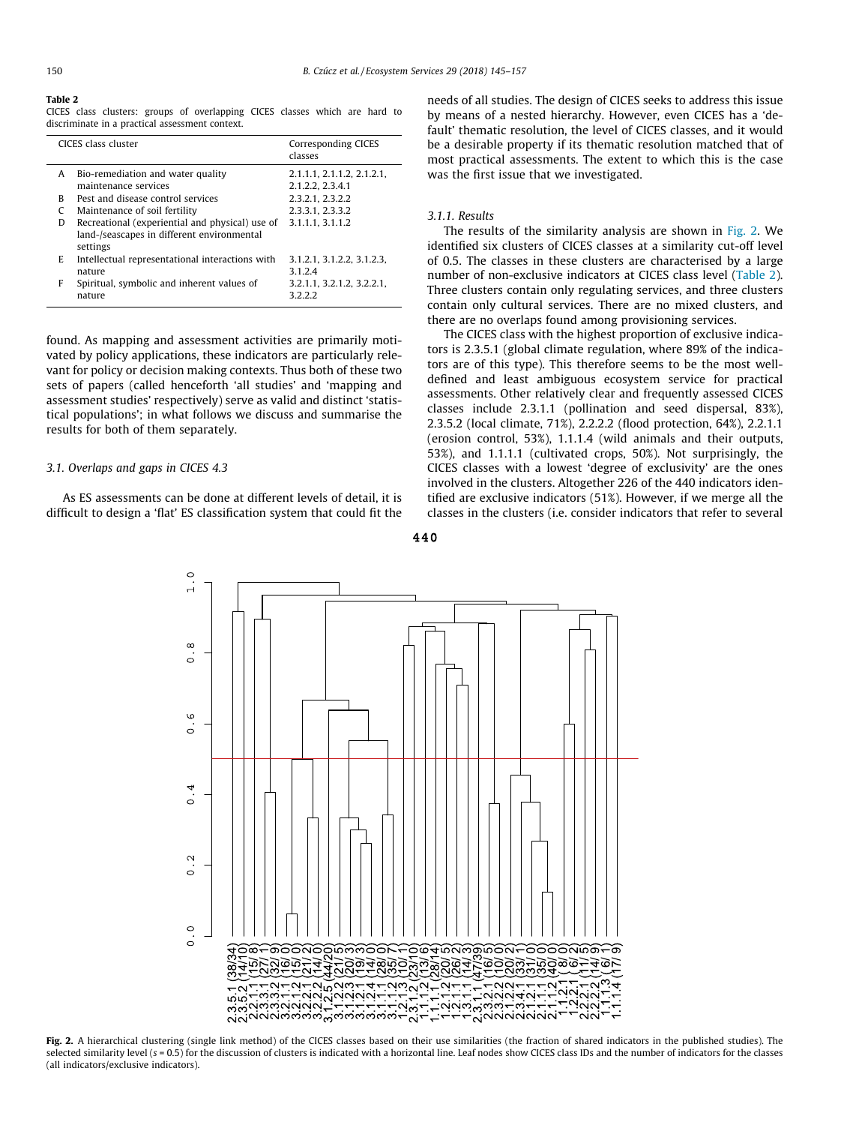<span id="page-5-0"></span>CICES class clusters: groups of overlapping CICES classes which are hard to discriminate in a practical assessment context.

|   | CICES class cluster                                                                                       | Corresponding CICES<br>classes                 |
|---|-----------------------------------------------------------------------------------------------------------|------------------------------------------------|
| A | Bio-remediation and water quality<br>maintenance services                                                 | 2.1.1.1, 2.1.1.2, 2.1.2.1,<br>2.1.2.2, 2.3.4.1 |
| R | Pest and disease control services                                                                         | 2.3.2.1, 2.3.2.2                               |
|   | Maintenance of soil fertility                                                                             | 2.3.3.1, 2.3.3.2                               |
| D | Recreational (experiential and physical) use of<br>land-/seascapes in different environmental<br>settings | 3.1.1.1.3.1.1.2                                |
| E | Intellectual representational interactions with<br>nature                                                 | 3.1.2.1, 3.1.2.2, 3.1.2.3<br>3.1.2.4           |
| F | Spiritual, symbolic and inherent values of<br>nature                                                      | 3.2.1.1, 3.2.1.2, 3.2.2.1,<br>3222             |

found. As mapping and assessment activities are primarily motivated by policy applications, these indicators are particularly relevant for policy or decision making contexts. Thus both of these two sets of papers (called henceforth 'all studies' and 'mapping and assessment studies' respectively) serve as valid and distinct 'statistical populations'; in what follows we discuss and summarise the results for both of them separately.

# 3.1. Overlaps and gaps in CICES 4.3

As ES assessments can be done at different levels of detail, it is difficult to design a 'flat' ES classification system that could fit the needs of all studies. The design of CICES seeks to address this issue by means of a nested hierarchy. However, even CICES has a 'default' thematic resolution, the level of CICES classes, and it would be a desirable property if its thematic resolution matched that of most practical assessments. The extent to which this is the case was the first issue that we investigated.

# 3.1.1. Results

The results of the similarity analysis are shown in Fig. 2. We identified six clusters of CICES classes at a similarity cut-off level of 0.5. The classes in these clusters are characterised by a large number of non-exclusive indicators at CICES class level (Table 2). Three clusters contain only regulating services, and three clusters contain only cultural services. There are no mixed clusters, and there are no overlaps found among provisioning services.

The CICES class with the highest proportion of exclusive indicators is 2.3.5.1 (global climate regulation, where 89% of the indicators are of this type). This therefore seems to be the most welldefined and least ambiguous ecosystem service for practical assessments. Other relatively clear and frequently assessed CICES classes include 2.3.1.1 (pollination and seed dispersal, 83%), 2.3.5.2 (local climate, 71%), 2.2.2.2 (flood protection, 64%), 2.2.1.1 (erosion control, 53%), 1.1.1.4 (wild animals and their outputs, 53%), and 1.1.1.1 (cultivated crops, 50%). Not surprisingly, the CICES classes with a lowest 'degree of exclusivity' are the ones involved in the clusters. Altogether 226 of the 440 indicators identified are exclusive indicators (51%). However, if we merge all the classes in the clusters (i.e. consider indicators that refer to several





Fig. 2. A hierarchical clustering (single link method) of the CICES classes based on their use similarities (the fraction of shared indicators in the published studies). The selected similarity level (s = 0.5) for the discussion of clusters is indicated with a horizontal line. Leaf nodes show CICES class IDs and the number of indicators for the classes (all indicators/exclusive indicators).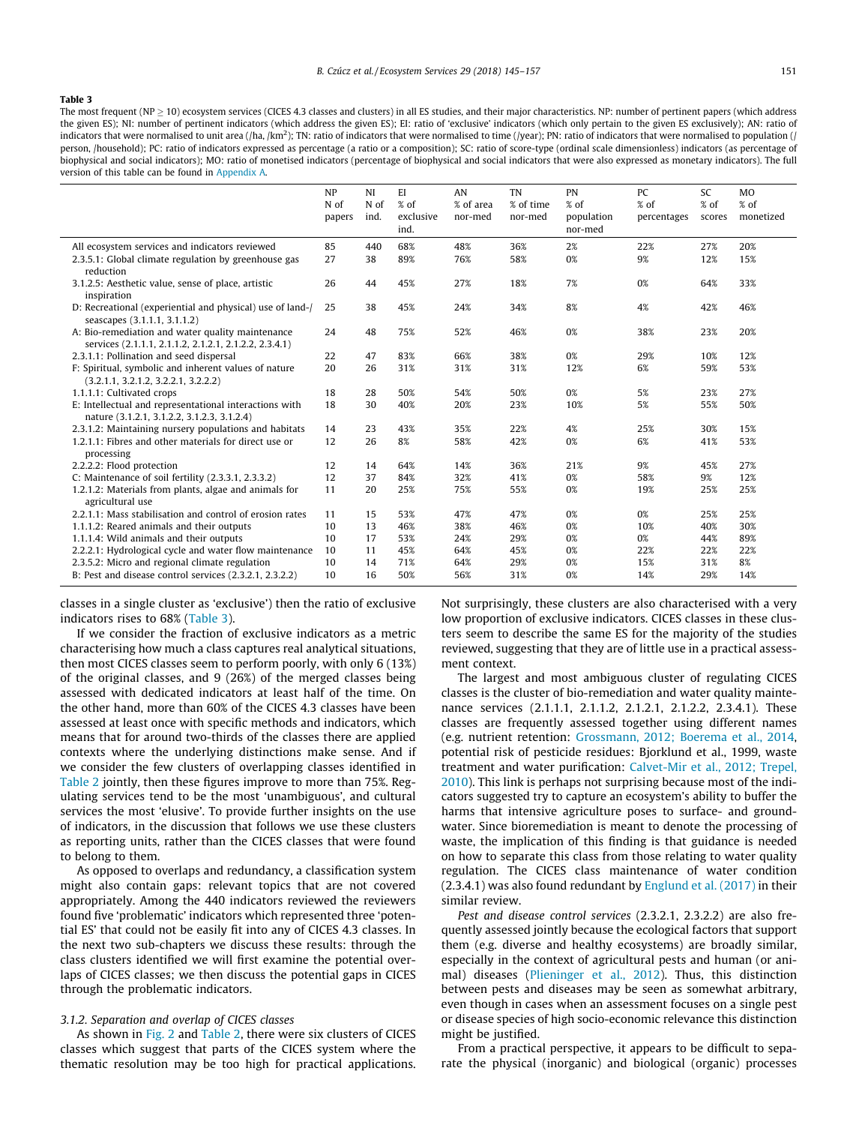<span id="page-6-0"></span>The most frequent (NP  $\geq$  10) ecosystem services (CICES 4.3 classes and clusters) in all ES studies, and their major characteristics. NP: number of pertinent papers (which address the given ES); NI: number of pertinent indicators (which address the given ES); EI: ratio of 'exclusive' indicators (which only pertain to the given ES exclusively); AN: ratio of indicators that were normalised to unit area (/ha, /km<sup>2</sup>); TN: ratio of indicators that were normalised to time (/year); PN: ratio of indicators that were normalised to population (*<sub>i</sub>* person, /household); PC: ratio of indicators expressed as percentage (a ratio or a composition); SC: ratio of score-type (ordinal scale dimensionless) indicators (as percentage of biophysical and social indicators); MO: ratio of monetised indicators (percentage of biophysical and social indicators that were also expressed as monetary indicators). The full version of this table can be found in Appendix A.

|                                                                                                            | NP<br>N of<br>papers | NI<br>$N$ of<br>ind. | EI<br>% of<br>exclusive<br>ind. | AN<br>% of area<br>nor-med | <b>TN</b><br>% of time<br>nor-med | PN<br>% of<br>population<br>nor-med | PC<br>% of<br>percentages | <b>SC</b><br>% of<br>scores | <b>MO</b><br>% of<br>monetized |
|------------------------------------------------------------------------------------------------------------|----------------------|----------------------|---------------------------------|----------------------------|-----------------------------------|-------------------------------------|---------------------------|-----------------------------|--------------------------------|
| All ecosystem services and indicators reviewed                                                             | 85                   | 440                  | 68%                             | 48%                        | 36%                               | 2%                                  | 22%                       | 27%                         | 20%                            |
| 2.3.5.1: Global climate regulation by greenhouse gas<br>reduction                                          | 27                   | 38                   | 89%                             | 76%                        | 58%                               | 0%                                  | 9%                        | 12%                         | 15%                            |
| 3.1.2.5: Aesthetic value, sense of place, artistic<br>inspiration                                          | 26                   | 44                   | 45%                             | 27%                        | 18%                               | 7%                                  | 0%                        | 64%                         | 33%                            |
| D: Recreational (experiential and physical) use of land-/<br>seascapes (3.1.1.1, 3.1.1.2)                  | 25                   | 38                   | 45%                             | 24%                        | 34%                               | 8%                                  | 4%                        | 42%                         | 46%                            |
| A: Bio-remediation and water quality maintenance<br>services (2.1.1.1, 2.1.1.2, 2.1.2.1, 2.1.2.2, 2.3.4.1) | 24                   | 48                   | 75%                             | 52%                        | 46%                               | 0%                                  | 38%                       | 23%                         | 20%                            |
| 2.3.1.1: Pollination and seed dispersal                                                                    | 22                   | 47                   | 83%                             | 66%                        | 38%                               | 0%                                  | 29%                       | 10%                         | 12%                            |
| F: Spiritual, symbolic and inherent values of nature<br>(3.2.1.1, 3.2.1.2, 3.2.2.1, 3.2.2.2)               | 20                   | 26                   | 31%                             | 31%                        | 31%                               | 12%                                 | 6%                        | 59%                         | 53%                            |
| 1.1.1.1: Cultivated crops                                                                                  | 18                   | 28                   | 50%                             | 54%                        | 50%                               | 0%                                  | 5%                        | 23%                         | 27%                            |
| E: Intellectual and representational interactions with<br>nature (3.1.2.1, 3.1.2.2, 3.1.2.3, 3.1.2.4)      | 18                   | 30                   | 40%                             | 20%                        | 23%                               | 10%                                 | 5%                        | 55%                         | 50%                            |
| 2.3.1.2: Maintaining nursery populations and habitats                                                      | 14                   | 23                   | 43%                             | 35%                        | 22%                               | 4%                                  | 25%                       | 30%                         | 15%                            |
| 1.2.1.1: Fibres and other materials for direct use or<br>processing                                        | 12                   | 26                   | 8%                              | 58%                        | 42%                               | 0%                                  | 6%                        | 41%                         | 53%                            |
| 2.2.2.2: Flood protection                                                                                  | 12                   | 14                   | 64%                             | 14%                        | 36%                               | 21%                                 | 9%                        | 45%                         | 27%                            |
| C: Maintenance of soil fertility $(2.3.3.1, 2.3.3.2)$                                                      | 12                   | 37                   | 84%                             | 32%                        | 41%                               | 0%                                  | 58%                       | 9%                          | 12%                            |
| 1.2.1.2: Materials from plants, algae and animals for<br>agricultural use                                  | 11                   | 20                   | 25%                             | 75%                        | 55%                               | 0%                                  | 19%                       | 25%                         | 25%                            |
| 2.2.1.1: Mass stabilisation and control of erosion rates                                                   | 11                   | 15                   | 53%                             | 47%                        | 47%                               | 0%                                  | 0%                        | 25%                         | 25%                            |
| 1.1.1.2: Reared animals and their outputs                                                                  | 10                   | 13                   | 46%                             | 38%                        | 46%                               | 0%                                  | 10%                       | 40%                         | 30%                            |
| 1.1.1.4: Wild animals and their outputs                                                                    | 10                   | 17                   | 53%                             | 24%                        | 29%                               | 0%                                  | 0%                        | 44%                         | 89%                            |
| 2.2.2.1: Hydrological cycle and water flow maintenance                                                     | 10                   | 11                   | 45%                             | 64%                        | 45%                               | 0%                                  | 22%                       | 22%                         | 22%                            |
| 2.3.5.2: Micro and regional climate regulation                                                             | 10                   | 14                   | 71%                             | 64%                        | 29%                               | 0%                                  | 15%                       | 31%                         | 8%                             |
| B: Pest and disease control services (2.3.2.1, 2.3.2.2)                                                    | 10                   | 16                   | 50%                             | 56%                        | 31%                               | 0%                                  | 14%                       | 29%                         | 14%                            |

classes in a single cluster as 'exclusive') then the ratio of exclusive indicators rises to 68% (Table 3).

If we consider the fraction of exclusive indicators as a metric characterising how much a class captures real analytical situations, then most CICES classes seem to perform poorly, with only 6 (13%) of the original classes, and 9 (26%) of the merged classes being assessed with dedicated indicators at least half of the time. On the other hand, more than 60% of the CICES 4.3 classes have been assessed at least once with specific methods and indicators, which means that for around two-thirds of the classes there are applied contexts where the underlying distinctions make sense. And if we consider the few clusters of overlapping classes identified in [Table 2](#page-5-0) jointly, then these figures improve to more than 75%. Regulating services tend to be the most 'unambiguous', and cultural services the most 'elusive'. To provide further insights on the use of indicators, in the discussion that follows we use these clusters as reporting units, rather than the CICES classes that were found to belong to them.

As opposed to overlaps and redundancy, a classification system might also contain gaps: relevant topics that are not covered appropriately. Among the 440 indicators reviewed the reviewers found five 'problematic' indicators which represented three 'potential ES' that could not be easily fit into any of CICES 4.3 classes. In the next two sub-chapters we discuss these results: through the class clusters identified we will first examine the potential overlaps of CICES classes; we then discuss the potential gaps in CICES through the problematic indicators.

#### 3.1.2. Separation and overlap of CICES classes

As shown in [Fig. 2](#page-5-0) and [Table 2,](#page-5-0) there were six clusters of CICES classes which suggest that parts of the CICES system where the thematic resolution may be too high for practical applications. Not surprisingly, these clusters are also characterised with a very low proportion of exclusive indicators. CICES classes in these clusters seem to describe the same ES for the majority of the studies reviewed, suggesting that they are of little use in a practical assessment context.

The largest and most ambiguous cluster of regulating CICES classes is the cluster of bio-remediation and water quality maintenance services (2.1.1.1, 2.1.1.2, 2.1.2.1, 2.1.2.2, 2.3.4.1). These classes are frequently assessed together using different names (e.g. nutrient retention: [Grossmann, 2012; Boerema et al., 2014,](#page-11-0) potential risk of pesticide residues: Bjorklund et al., 1999, waste treatment and water purification: [Calvet-Mir et al., 2012; Trepel,](#page-11-0) [2010](#page-11-0)). This link is perhaps not surprising because most of the indicators suggested try to capture an ecosystem's ability to buffer the harms that intensive agriculture poses to surface- and groundwater. Since bioremediation is meant to denote the processing of waste, the implication of this finding is that guidance is needed on how to separate this class from those relating to water quality regulation. The CICES class maintenance of water condition (2.3.4.1) was also found redundant by [Englund et al. \(2017\)](#page-11-0) in their similar review.

Pest and disease control services (2.3.2.1, 2.3.2.2) are also frequently assessed jointly because the ecological factors that support them (e.g. diverse and healthy ecosystems) are broadly similar, especially in the context of agricultural pests and human (or animal) diseases [\(Plieninger et al., 2012](#page-12-0)). Thus, this distinction between pests and diseases may be seen as somewhat arbitrary, even though in cases when an assessment focuses on a single pest or disease species of high socio-economic relevance this distinction might be justified.

From a practical perspective, it appears to be difficult to separate the physical (inorganic) and biological (organic) processes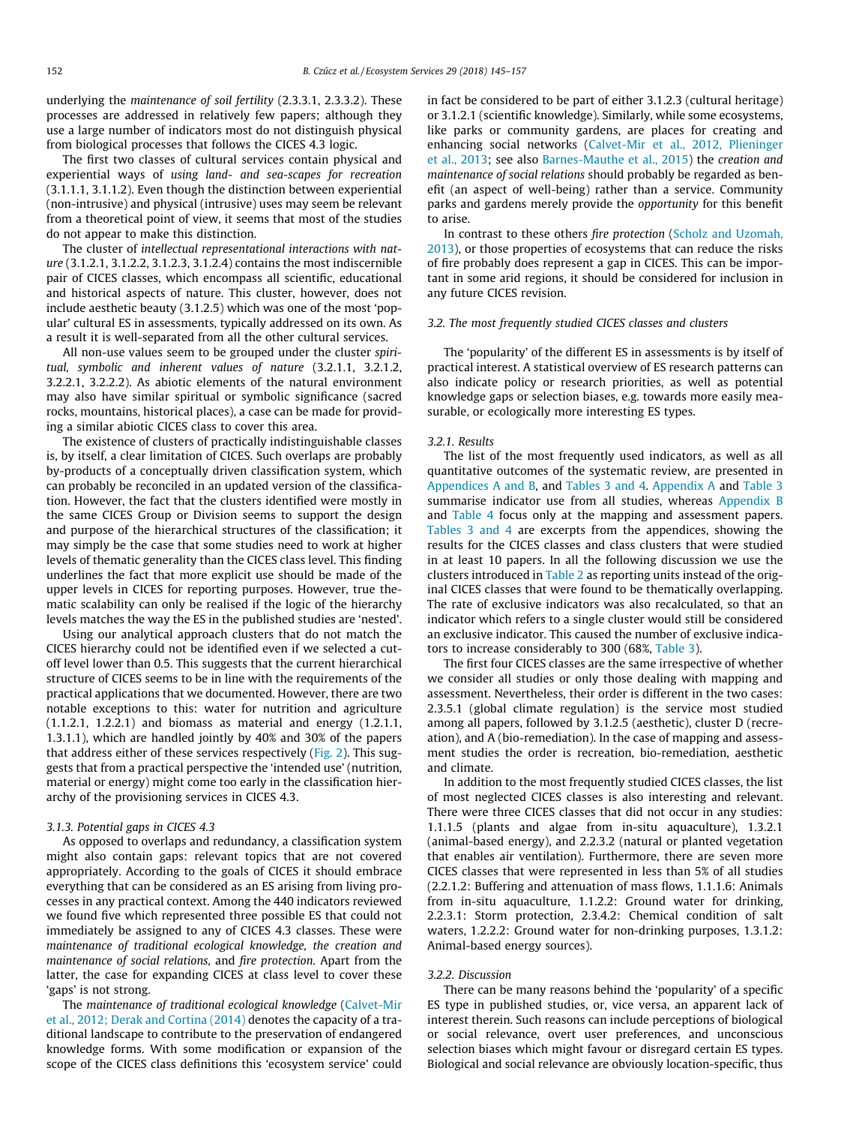<span id="page-7-0"></span>underlying the maintenance of soil fertility (2.3.3.1, 2.3.3.2). These processes are addressed in relatively few papers; although they use a large number of indicators most do not distinguish physical from biological processes that follows the CICES 4.3 logic.

The first two classes of cultural services contain physical and experiential ways of using land- and sea-scapes for recreation (3.1.1.1, 3.1.1.2). Even though the distinction between experiential (non-intrusive) and physical (intrusive) uses may seem be relevant from a theoretical point of view, it seems that most of the studies do not appear to make this distinction.

The cluster of intellectual representational interactions with nature (3.1.2.1, 3.1.2.2, 3.1.2.3, 3.1.2.4) contains the most indiscernible pair of CICES classes, which encompass all scientific, educational and historical aspects of nature. This cluster, however, does not include aesthetic beauty (3.1.2.5) which was one of the most 'popular' cultural ES in assessments, typically addressed on its own. As a result it is well-separated from all the other cultural services.

All non-use values seem to be grouped under the cluster spiritual, symbolic and inherent values of nature (3.2.1.1, 3.2.1.2, 3.2.2.1, 3.2.2.2). As abiotic elements of the natural environment may also have similar spiritual or symbolic significance (sacred rocks, mountains, historical places), a case can be made for providing a similar abiotic CICES class to cover this area.

The existence of clusters of practically indistinguishable classes is, by itself, a clear limitation of CICES. Such overlaps are probably by-products of a conceptually driven classification system, which can probably be reconciled in an updated version of the classification. However, the fact that the clusters identified were mostly in the same CICES Group or Division seems to support the design and purpose of the hierarchical structures of the classification; it may simply be the case that some studies need to work at higher levels of thematic generality than the CICES class level. This finding underlines the fact that more explicit use should be made of the upper levels in CICES for reporting purposes. However, true thematic scalability can only be realised if the logic of the hierarchy levels matches the way the ES in the published studies are 'nested'.

Using our analytical approach clusters that do not match the CICES hierarchy could not be identified even if we selected a cutoff level lower than 0.5. This suggests that the current hierarchical structure of CICES seems to be in line with the requirements of the practical applications that we documented. However, there are two notable exceptions to this: water for nutrition and agriculture (1.1.2.1, 1.2.2.1) and biomass as material and energy (1.2.1.1, 1.3.1.1), which are handled jointly by 40% and 30% of the papers that address either of these services respectively ([Fig. 2](#page-5-0)). This suggests that from a practical perspective the 'intended use' (nutrition, material or energy) might come too early in the classification hierarchy of the provisioning services in CICES 4.3.

# 3.1.3. Potential gaps in CICES 4.3

As opposed to overlaps and redundancy, a classification system might also contain gaps: relevant topics that are not covered appropriately. According to the goals of CICES it should embrace everything that can be considered as an ES arising from living processes in any practical context. Among the 440 indicators reviewed we found five which represented three possible ES that could not immediately be assigned to any of CICES 4.3 classes. These were maintenance of traditional ecological knowledge, the creation and maintenance of social relations, and fire protection. Apart from the latter, the case for expanding CICES at class level to cover these 'gaps' is not strong.

The maintenance of traditional ecological knowledge ([Calvet-Mir](#page-11-0) [et al., 2012; Derak and Cortina \(2014\)](#page-11-0) denotes the capacity of a traditional landscape to contribute to the preservation of endangered knowledge forms. With some modification or expansion of the scope of the CICES class definitions this 'ecosystem service' could in fact be considered to be part of either 3.1.2.3 (cultural heritage) or 3.1.2.1 (scientific knowledge). Similarly, while some ecosystems, like parks or community gardens, are places for creating and enhancing social networks ([Calvet-Mir et al., 2012, Plieninger](#page-11-0) [et al., 2013](#page-11-0); see also [Barnes-Mauthe et al., 2015](#page-11-0)) the creation and maintenance of social relations should probably be regarded as benefit (an aspect of well-being) rather than a service. Community parks and gardens merely provide the opportunity for this benefit to arise.

In contrast to these others fire protection [\(Scholz and Uzomah,](#page-12-0) [2013\)](#page-12-0), or those properties of ecosystems that can reduce the risks of fire probably does represent a gap in CICES. This can be important in some arid regions, it should be considered for inclusion in any future CICES revision.

# 3.2. The most frequently studied CICES classes and clusters

The 'popularity' of the different ES in assessments is by itself of practical interest. A statistical overview of ES research patterns can also indicate policy or research priorities, as well as potential knowledge gaps or selection biases, e.g. towards more easily measurable, or ecologically more interesting ES types.

#### 3.2.1. Results

The list of the most frequently used indicators, as well as all quantitative outcomes of the systematic review, are presented in Appendices A and B, and [Tables 3 and 4.](#page-6-0) Appendix A and [Table 3](#page-6-0) summarise indicator use from all studies, whereas Appendix B and [Table 4](#page-8-0) focus only at the mapping and assessment papers. [Tables 3 and 4](#page-6-0) are excerpts from the appendices, showing the results for the CICES classes and class clusters that were studied in at least 10 papers. In all the following discussion we use the clusters introduced in [Table 2](#page-5-0) as reporting units instead of the original CICES classes that were found to be thematically overlapping. The rate of exclusive indicators was also recalculated, so that an indicator which refers to a single cluster would still be considered an exclusive indicator. This caused the number of exclusive indicators to increase considerably to 300 (68%, [Table 3\)](#page-6-0).

The first four CICES classes are the same irrespective of whether we consider all studies or only those dealing with mapping and assessment. Nevertheless, their order is different in the two cases: 2.3.5.1 (global climate regulation) is the service most studied among all papers, followed by 3.1.2.5 (aesthetic), cluster D (recreation), and A (bio-remediation). In the case of mapping and assessment studies the order is recreation, bio-remediation, aesthetic and climate.

In addition to the most frequently studied CICES classes, the list of most neglected CICES classes is also interesting and relevant. There were three CICES classes that did not occur in any studies: 1.1.1.5 (plants and algae from in-situ aquaculture), 1.3.2.1 (animal-based energy), and 2.2.3.2 (natural or planted vegetation that enables air ventilation). Furthermore, there are seven more CICES classes that were represented in less than 5% of all studies (2.2.1.2: Buffering and attenuation of mass flows, 1.1.1.6: Animals from in-situ aquaculture, 1.1.2.2: Ground water for drinking, 2.2.3.1: Storm protection, 2.3.4.2: Chemical condition of salt waters, 1.2.2.2: Ground water for non-drinking purposes, 1.3.1.2: Animal-based energy sources).

### 3.2.2. Discussion

There can be many reasons behind the 'popularity' of a specific ES type in published studies, or, vice versa, an apparent lack of interest therein. Such reasons can include perceptions of biological or social relevance, overt user preferences, and unconscious selection biases which might favour or disregard certain ES types. Biological and social relevance are obviously location-specific, thus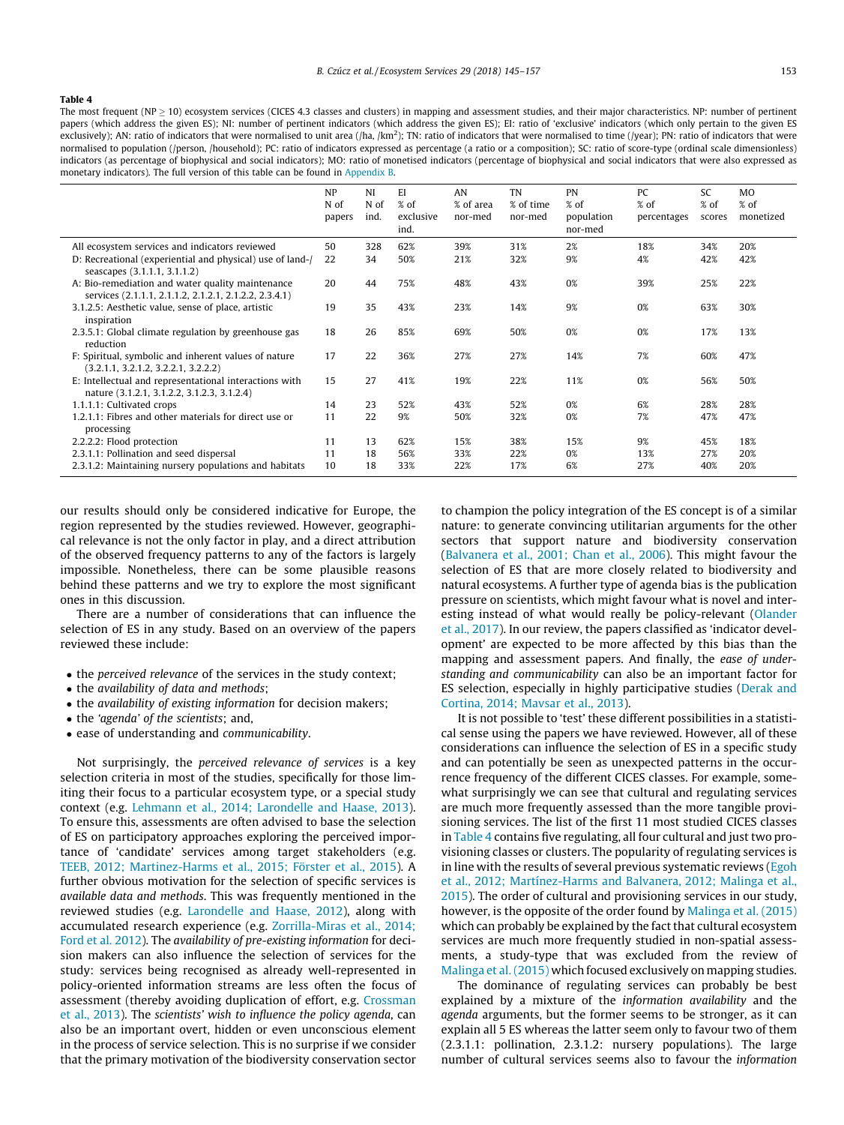<span id="page-8-0"></span>The most frequent (NP  $\geq$  10) ecosystem services (CICES 4.3 classes and clusters) in mapping and assessment studies, and their major characteristics. NP: number of pertinent papers (which address the given ES); NI: number of pertinent indicators (which address the given ES); EI: ratio of 'exclusive' indicators (which only pertain to the given ES exclusively); AN: ratio of indicators that were normalised to unit area (/ha, /km<sup>2</sup>); TN: ratio of indicators that were normalised to time (/year); PN: ratio of indicators that were normalised to population (/person, /household); PC: ratio of indicators expressed as percentage (a ratio or a composition); SC: ratio of score-type (ordinal scale dimensionless) indicators (as percentage of biophysical and social indicators); MO: ratio of monetised indicators (percentage of biophysical and social indicators that were also expressed as monetary indicators). The full version of this table can be found in Appendix B.

|                                                                                                            | <b>NP</b><br>N of<br>papers | <b>NI</b><br>N of<br>ind. | EI<br>$%$ of<br>exclusive<br>ind. | AN<br>% of area<br>nor-med | TN<br>% of time<br>nor-med | <b>PN</b><br>$%$ of<br>population<br>nor-med | PC<br>$%$ of<br>percentages | <b>SC</b><br>$%$ of<br>scores | <b>MO</b><br>$%$ of<br>monetized |
|------------------------------------------------------------------------------------------------------------|-----------------------------|---------------------------|-----------------------------------|----------------------------|----------------------------|----------------------------------------------|-----------------------------|-------------------------------|----------------------------------|
| All ecosystem services and indicators reviewed                                                             | 50                          | 328                       | 62%                               | 39%                        | 31%                        | 2%                                           | 18%                         | 34%                           | 20%                              |
| D: Recreational (experiential and physical) use of land-/<br>seascapes (3.1.1.1, 3.1.1.2)                  | 22                          | 34                        | 50%                               | 21%                        | 32%                        | 9%                                           | 4%                          | 42%                           | 42%                              |
| A: Bio-remediation and water quality maintenance<br>services (2.1.1.1, 2.1.1.2, 2.1.2.1, 2.1.2.2, 2.3.4.1) | 20                          | 44                        | 75%                               | 48%                        | 43%                        | 0%                                           | 39%                         | 25%                           | 22%                              |
| 3.1.2.5: Aesthetic value, sense of place, artistic<br>inspiration                                          | 19                          | 35                        | 43%                               | 23%                        | 14%                        | 9%                                           | 0%                          | 63%                           | 30%                              |
| 2.3.5.1: Global climate regulation by greenhouse gas<br>reduction                                          | 18                          | 26                        | 85%                               | 69%                        | 50%                        | 0%                                           | 0%                          | 17%                           | 13%                              |
| F: Spiritual, symbolic and inherent values of nature<br>(3,2,1,1, 3,2,1,2, 3,2,2,1, 3,2,2,2)               | 17                          | 22                        | 36%                               | 27%                        | 27%                        | 14%                                          | 7%                          | 60%                           | 47%                              |
| E: Intellectual and representational interactions with<br>nature (3.1.2.1, 3.1.2.2, 3.1.2.3, 3.1.2.4)      | 15                          | 27                        | 41%                               | 19%                        | 22%                        | 11%                                          | 0%                          | 56%                           | 50%                              |
| 1.1.1.1: Cultivated crops                                                                                  | 14                          | 23                        | 52%                               | 43%                        | 52%                        | 0%                                           | 6%                          | 28%                           | 28%                              |
| 1.2.1.1: Fibres and other materials for direct use or<br>processing                                        | 11                          | 22                        | 9%                                | 50%                        | 32%                        | 0%                                           | 7%                          | 47%                           | 47%                              |
| 2.2.2.2: Flood protection                                                                                  | 11                          | 13                        | 62%                               | 15%                        | 38%                        | 15%                                          | 9%                          | 45%                           | 18%                              |
| 2.3.1.1: Pollination and seed dispersal                                                                    | 11                          | 18                        | 56%                               | 33%                        | 22%                        | 0%                                           | 13%                         | 27%                           | 20%                              |
| 2.3.1.2: Maintaining nursery populations and habitats                                                      | 10                          | 18                        | 33%                               | 22%                        | 17%                        | 6%                                           | 27%                         | 40%                           | 20%                              |

our results should only be considered indicative for Europe, the region represented by the studies reviewed. However, geographical relevance is not the only factor in play, and a direct attribution of the observed frequency patterns to any of the factors is largely impossible. Nonetheless, there can be some plausible reasons behind these patterns and we try to explore the most significant ones in this discussion.

There are a number of considerations that can influence the selection of ES in any study. Based on an overview of the papers reviewed these include:

- the perceived relevance of the services in the study context;
- the availability of data and methods;
- the availability of existing information for decision makers;
- the 'agenda' of the scientists; and,
- ease of understanding and communicability.

Not surprisingly, the perceived relevance of services is a key selection criteria in most of the studies, specifically for those limiting their focus to a particular ecosystem type, or a special study context (e.g. [Lehmann et al., 2014; Larondelle and Haase, 2013\)](#page-12-0). To ensure this, assessments are often advised to base the selection of ES on participatory approaches exploring the perceived importance of 'candidate' services among target stakeholders (e.g. [TEEB, 2012; Martinez-Harms et al., 2015; Förster et al., 2015\)](#page-12-0). A further obvious motivation for the selection of specific services is available data and methods. This was frequently mentioned in the reviewed studies (e.g. [Larondelle and Haase, 2012](#page-12-0)), along with accumulated research experience (e.g. [Zorrilla-Miras et al., 2014;](#page-12-0) [Ford et al. 2012](#page-12-0)). The availability of pre-existing information for decision makers can also influence the selection of services for the study: services being recognised as already well-represented in policy-oriented information streams are less often the focus of assessment (thereby avoiding duplication of effort, e.g. [Crossman](#page-11-0) [et al., 2013\)](#page-11-0). The scientists' wish to influence the policy agenda, can also be an important overt, hidden or even unconscious element in the process of service selection. This is no surprise if we consider that the primary motivation of the biodiversity conservation sector

to champion the policy integration of the ES concept is of a similar nature: to generate convincing utilitarian arguments for the other sectors that support nature and biodiversity conservation ([Balvanera et al., 2001; Chan et al., 2006\)](#page-11-0). This might favour the selection of ES that are more closely related to biodiversity and natural ecosystems. A further type of agenda bias is the publication pressure on scientists, which might favour what is novel and interesting instead of what would really be policy-relevant ([Olander](#page-12-0) [et al., 2017](#page-12-0)). In our review, the papers classified as 'indicator development' are expected to be more affected by this bias than the mapping and assessment papers. And finally, the ease of understanding and communicability can also be an important factor for ES selection, especially in highly participative studies [\(Derak and](#page-11-0) [Cortina, 2014; Mavsar et al., 2013\)](#page-11-0).

It is not possible to 'test' these different possibilities in a statistical sense using the papers we have reviewed. However, all of these considerations can influence the selection of ES in a specific study and can potentially be seen as unexpected patterns in the occurrence frequency of the different CICES classes. For example, somewhat surprisingly we can see that cultural and regulating services are much more frequently assessed than the more tangible provisioning services. The list of the first 11 most studied CICES classes in Table 4 contains five regulating, all four cultural and just two provisioning classes or clusters. The popularity of regulating services is in line with the results of several previous systematic reviews [\(Egoh](#page-11-0) [et al., 2012; Martínez-Harms and Balvanera, 2012; Malinga et al.,](#page-11-0) [2015](#page-11-0)). The order of cultural and provisioning services in our study, however, is the opposite of the order found by [Malinga et al. \(2015\)](#page-12-0) which can probably be explained by the fact that cultural ecosystem services are much more frequently studied in non-spatial assessments, a study-type that was excluded from the review of [Malinga et al. \(2015\)](#page-12-0) which focused exclusively on mapping studies.

The dominance of regulating services can probably be best explained by a mixture of the information availability and the agenda arguments, but the former seems to be stronger, as it can explain all 5 ES whereas the latter seem only to favour two of them (2.3.1.1: pollination, 2.3.1.2: nursery populations). The large number of cultural services seems also to favour the information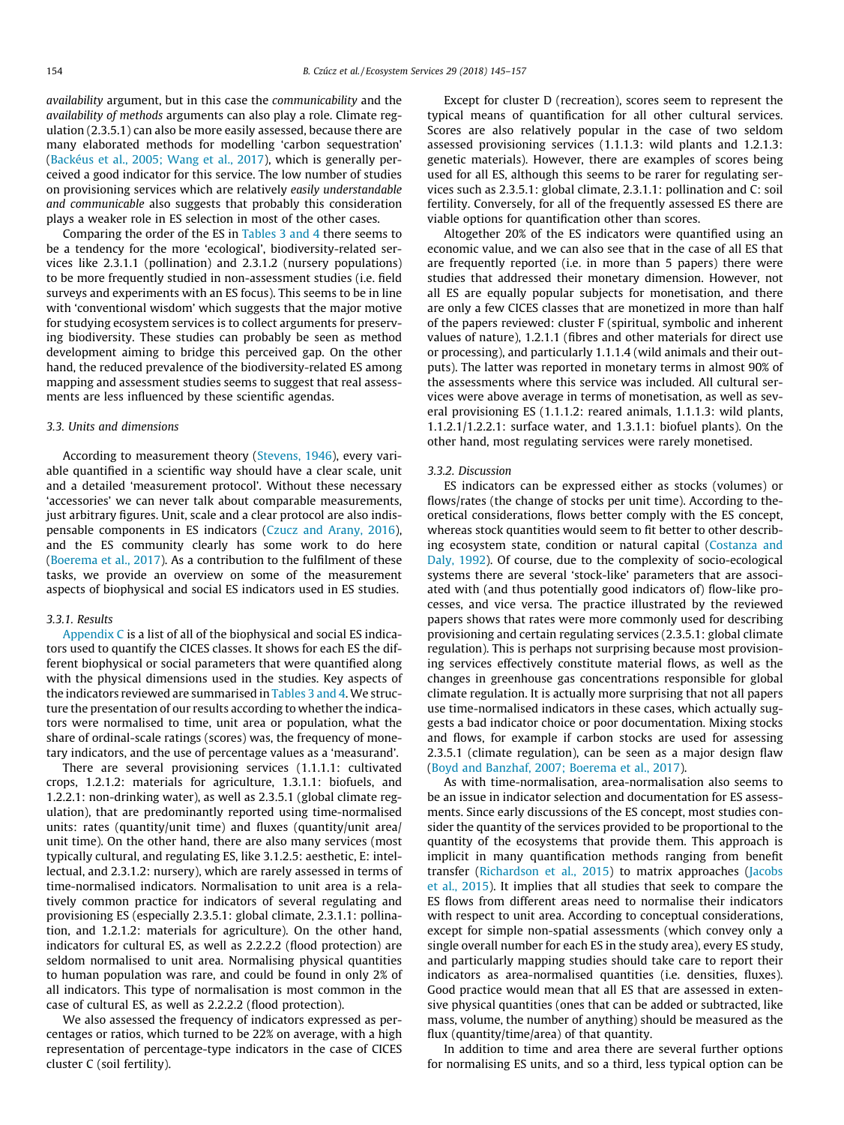availability argument, but in this case the communicability and the availability of methods arguments can also play a role. Climate regulation (2.3.5.1) can also be more easily assessed, because there are many elaborated methods for modelling 'carbon sequestration' ([Backéus et al., 2005; Wang et al., 2017\)](#page-11-0), which is generally perceived a good indicator for this service. The low number of studies on provisioning services which are relatively easily understandable and communicable also suggests that probably this consideration plays a weaker role in ES selection in most of the other cases.

Comparing the order of the ES in [Tables 3 and 4](#page-6-0) there seems to be a tendency for the more 'ecological', biodiversity-related services like 2.3.1.1 (pollination) and 2.3.1.2 (nursery populations) to be more frequently studied in non-assessment studies (i.e. field surveys and experiments with an ES focus). This seems to be in line with 'conventional wisdom' which suggests that the major motive for studying ecosystem services is to collect arguments for preserving biodiversity. These studies can probably be seen as method development aiming to bridge this perceived gap. On the other hand, the reduced prevalence of the biodiversity-related ES among mapping and assessment studies seems to suggest that real assessments are less influenced by these scientific agendas.

# 3.3. Units and dimensions

According to measurement theory ([Stevens, 1946](#page-12-0)), every variable quantified in a scientific way should have a clear scale, unit and a detailed 'measurement protocol'. Without these necessary 'accessories' we can never talk about comparable measurements, just arbitrary figures. Unit, scale and a clear protocol are also indispensable components in ES indicators [\(Czucz and Arany, 2016\)](#page-11-0), and the ES community clearly has some work to do here ([Boerema et al., 2017](#page-11-0)). As a contribution to the fulfilment of these tasks, we provide an overview on some of the measurement aspects of biophysical and social ES indicators used in ES studies.

# 3.3.1. Results

Appendix C is a list of all of the biophysical and social ES indicators used to quantify the CICES classes. It shows for each ES the different biophysical or social parameters that were quantified along with the physical dimensions used in the studies. Key aspects of the indicators reviewed are summarised in [Tables 3 and 4.](#page-6-0) We structure the presentation of our results according to whether the indicators were normalised to time, unit area or population, what the share of ordinal-scale ratings (scores) was, the frequency of monetary indicators, and the use of percentage values as a 'measurand'.

There are several provisioning services (1.1.1.1: cultivated crops, 1.2.1.2: materials for agriculture, 1.3.1.1: biofuels, and 1.2.2.1: non-drinking water), as well as 2.3.5.1 (global climate regulation), that are predominantly reported using time-normalised units: rates (quantity/unit time) and fluxes (quantity/unit area/ unit time). On the other hand, there are also many services (most typically cultural, and regulating ES, like 3.1.2.5: aesthetic, E: intellectual, and 2.3.1.2: nursery), which are rarely assessed in terms of time-normalised indicators. Normalisation to unit area is a relatively common practice for indicators of several regulating and provisioning ES (especially 2.3.5.1: global climate, 2.3.1.1: pollination, and 1.2.1.2: materials for agriculture). On the other hand, indicators for cultural ES, as well as 2.2.2.2 (flood protection) are seldom normalised to unit area. Normalising physical quantities to human population was rare, and could be found in only 2% of all indicators. This type of normalisation is most common in the case of cultural ES, as well as 2.2.2.2 (flood protection).

We also assessed the frequency of indicators expressed as percentages or ratios, which turned to be 22% on average, with a high representation of percentage-type indicators in the case of CICES cluster C (soil fertility).

Except for cluster D (recreation), scores seem to represent the typical means of quantification for all other cultural services. Scores are also relatively popular in the case of two seldom assessed provisioning services (1.1.1.3: wild plants and 1.2.1.3: genetic materials). However, there are examples of scores being used for all ES, although this seems to be rarer for regulating services such as 2.3.5.1: global climate, 2.3.1.1: pollination and C: soil fertility. Conversely, for all of the frequently assessed ES there are viable options for quantification other than scores.

Altogether 20% of the ES indicators were quantified using an economic value, and we can also see that in the case of all ES that are frequently reported (i.e. in more than 5 papers) there were studies that addressed their monetary dimension. However, not all ES are equally popular subjects for monetisation, and there are only a few CICES classes that are monetized in more than half of the papers reviewed: cluster F (spiritual, symbolic and inherent values of nature), 1.2.1.1 (fibres and other materials for direct use or processing), and particularly 1.1.1.4 (wild animals and their outputs). The latter was reported in monetary terms in almost 90% of the assessments where this service was included. All cultural services were above average in terms of monetisation, as well as several provisioning ES (1.1.1.2: reared animals, 1.1.1.3: wild plants, 1.1.2.1/1.2.2.1: surface water, and 1.3.1.1: biofuel plants). On the other hand, most regulating services were rarely monetised.

## 3.3.2. Discussion

ES indicators can be expressed either as stocks (volumes) or flows/rates (the change of stocks per unit time). According to theoretical considerations, flows better comply with the ES concept, whereas stock quantities would seem to fit better to other describing ecosystem state, condition or natural capital ([Costanza and](#page-11-0) [Daly, 1992\)](#page-11-0). Of course, due to the complexity of socio-ecological systems there are several 'stock-like' parameters that are associated with (and thus potentially good indicators of) flow-like processes, and vice versa. The practice illustrated by the reviewed papers shows that rates were more commonly used for describing provisioning and certain regulating services (2.3.5.1: global climate regulation). This is perhaps not surprising because most provisioning services effectively constitute material flows, as well as the changes in greenhouse gas concentrations responsible for global climate regulation. It is actually more surprising that not all papers use time-normalised indicators in these cases, which actually suggests a bad indicator choice or poor documentation. Mixing stocks and flows, for example if carbon stocks are used for assessing 2.3.5.1 (climate regulation), can be seen as a major design flaw ([Boyd and Banzhaf, 2007; Boerema et al., 2017](#page-11-0)).

As with time-normalisation, area-normalisation also seems to be an issue in indicator selection and documentation for ES assessments. Since early discussions of the ES concept, most studies consider the quantity of the services provided to be proportional to the quantity of the ecosystems that provide them. This approach is implicit in many quantification methods ranging from benefit transfer ([Richardson et al., 2015](#page-12-0)) to matrix approaches [\(Jacobs](#page-12-0) [et al., 2015](#page-12-0)). It implies that all studies that seek to compare the ES flows from different areas need to normalise their indicators with respect to unit area. According to conceptual considerations, except for simple non-spatial assessments (which convey only a single overall number for each ES in the study area), every ES study, and particularly mapping studies should take care to report their indicators as area-normalised quantities (i.e. densities, fluxes). Good practice would mean that all ES that are assessed in extensive physical quantities (ones that can be added or subtracted, like mass, volume, the number of anything) should be measured as the flux (quantity/time/area) of that quantity.

In addition to time and area there are several further options for normalising ES units, and so a third, less typical option can be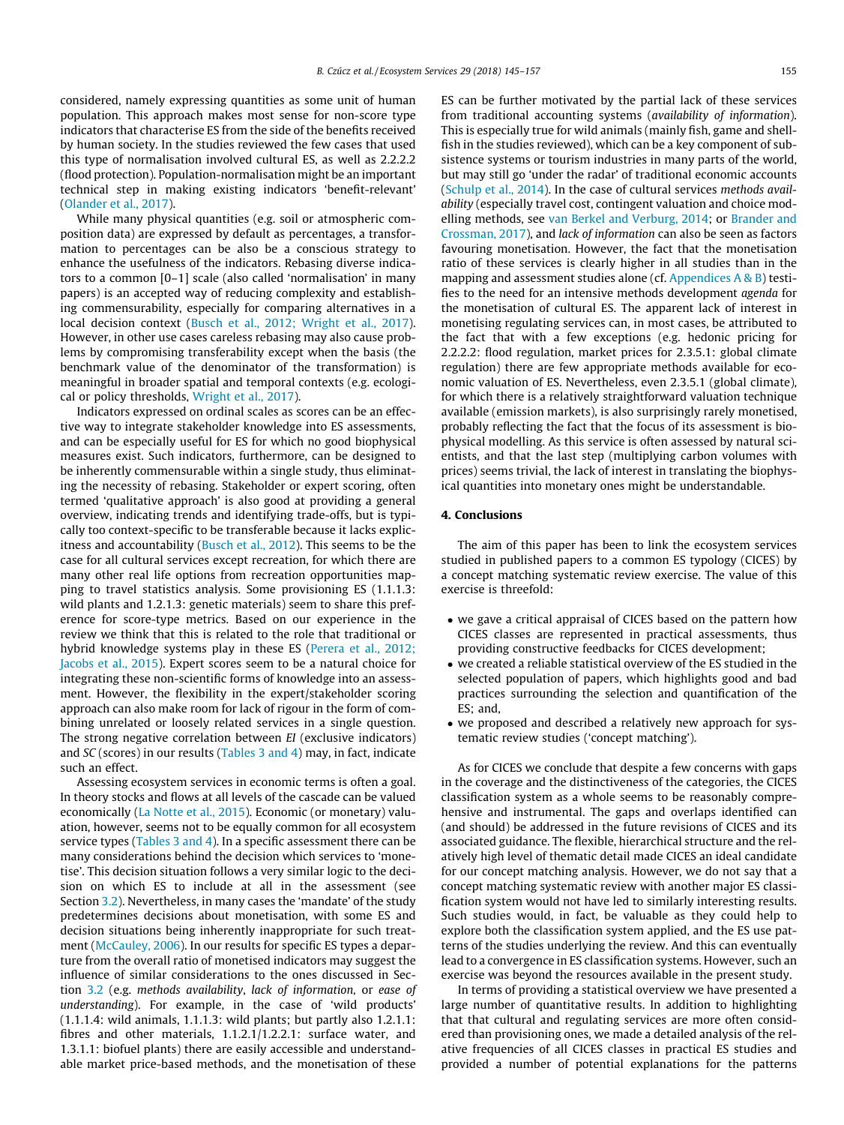considered, namely expressing quantities as some unit of human population. This approach makes most sense for non-score type indicators that characterise ES from the side of the benefits received by human society. In the studies reviewed the few cases that used this type of normalisation involved cultural ES, as well as 2.2.2.2 (flood protection). Population-normalisation might be an important technical step in making existing indicators 'benefit-relevant' ([Olander et al., 2017](#page-12-0)).

While many physical quantities (e.g. soil or atmospheric composition data) are expressed by default as percentages, a transformation to percentages can be also be a conscious strategy to enhance the usefulness of the indicators. Rebasing diverse indicators to a common [0–1] scale (also called 'normalisation' in many papers) is an accepted way of reducing complexity and establishing commensurability, especially for comparing alternatives in a local decision context ([Busch et al., 2012; Wright et al., 2017\)](#page-11-0). However, in other use cases careless rebasing may also cause problems by compromising transferability except when the basis (the benchmark value of the denominator of the transformation) is meaningful in broader spatial and temporal contexts (e.g. ecological or policy thresholds, [Wright et al., 2017\)](#page-12-0).

Indicators expressed on ordinal scales as scores can be an effective way to integrate stakeholder knowledge into ES assessments, and can be especially useful for ES for which no good biophysical measures exist. Such indicators, furthermore, can be designed to be inherently commensurable within a single study, thus eliminating the necessity of rebasing. Stakeholder or expert scoring, often termed 'qualitative approach' is also good at providing a general overview, indicating trends and identifying trade-offs, but is typically too context-specific to be transferable because it lacks explicitness and accountability [\(Busch et al., 2012\)](#page-11-0). This seems to be the case for all cultural services except recreation, for which there are many other real life options from recreation opportunities mapping to travel statistics analysis. Some provisioning ES (1.1.1.3: wild plants and 1.2.1.3: genetic materials) seem to share this preference for score-type metrics. Based on our experience in the review we think that this is related to the role that traditional or hybrid knowledge systems play in these ES [\(Perera et al., 2012;](#page-12-0) [Jacobs et al., 2015\)](#page-12-0). Expert scores seem to be a natural choice for integrating these non-scientific forms of knowledge into an assessment. However, the flexibility in the expert/stakeholder scoring approach can also make room for lack of rigour in the form of combining unrelated or loosely related services in a single question. The strong negative correlation between EI (exclusive indicators) and SC (scores) in our results [\(Tables 3 and 4](#page-6-0)) may, in fact, indicate such an effect.

Assessing ecosystem services in economic terms is often a goal. In theory stocks and flows at all levels of the cascade can be valued economically ([La Notte et al., 2015](#page-12-0)). Economic (or monetary) valuation, however, seems not to be equally common for all ecosystem service types [\(Tables 3 and 4\)](#page-6-0). In a specific assessment there can be many considerations behind the decision which services to 'monetise'. This decision situation follows a very similar logic to the decision on which ES to include at all in the assessment (see Section [3.2](#page-7-0)). Nevertheless, in many cases the 'mandate' of the study predetermines decisions about monetisation, with some ES and decision situations being inherently inappropriate for such treatment [\(McCauley, 2006](#page-12-0)). In our results for specific ES types a departure from the overall ratio of monetised indicators may suggest the influence of similar considerations to the ones discussed in Section [3.2](#page-7-0) (e.g. methods availability, lack of information, or ease of understanding). For example, in the case of 'wild products' (1.1.1.4: wild animals, 1.1.1.3: wild plants; but partly also 1.2.1.1: fibres and other materials, 1.1.2.1/1.2.2.1: surface water, and 1.3.1.1: biofuel plants) there are easily accessible and understandable market price-based methods, and the monetisation of these

ES can be further motivated by the partial lack of these services from traditional accounting systems (availability of information). This is especially true for wild animals (mainly fish, game and shellfish in the studies reviewed), which can be a key component of subsistence systems or tourism industries in many parts of the world, but may still go 'under the radar' of traditional economic accounts ([Schulp et al., 2014](#page-12-0)). In the case of cultural services methods availability (especially travel cost, contingent valuation and choice modelling methods, see [van Berkel and Verburg, 2014](#page-12-0); or [Brander and](#page-11-0) [Crossman, 2017](#page-11-0)), and lack of information can also be seen as factors favouring monetisation. However, the fact that the monetisation ratio of these services is clearly higher in all studies than in the mapping and assessment studies alone (cf. Appendices A & B) testifies to the need for an intensive methods development agenda for the monetisation of cultural ES. The apparent lack of interest in monetising regulating services can, in most cases, be attributed to the fact that with a few exceptions (e.g. hedonic pricing for 2.2.2.2: flood regulation, market prices for 2.3.5.1: global climate regulation) there are few appropriate methods available for economic valuation of ES. Nevertheless, even 2.3.5.1 (global climate), for which there is a relatively straightforward valuation technique available (emission markets), is also surprisingly rarely monetised, probably reflecting the fact that the focus of its assessment is biophysical modelling. As this service is often assessed by natural scientists, and that the last step (multiplying carbon volumes with prices) seems trivial, the lack of interest in translating the biophysical quantities into monetary ones might be understandable.

# 4. Conclusions

The aim of this paper has been to link the ecosystem services studied in published papers to a common ES typology (CICES) by a concept matching systematic review exercise. The value of this exercise is threefold:

- we gave a critical appraisal of CICES based on the pattern how CICES classes are represented in practical assessments, thus providing constructive feedbacks for CICES development;
- we created a reliable statistical overview of the ES studied in the selected population of papers, which highlights good and bad practices surrounding the selection and quantification of the ES; and,
- we proposed and described a relatively new approach for systematic review studies ('concept matching').

As for CICES we conclude that despite a few concerns with gaps in the coverage and the distinctiveness of the categories, the CICES classification system as a whole seems to be reasonably comprehensive and instrumental. The gaps and overlaps identified can (and should) be addressed in the future revisions of CICES and its associated guidance. The flexible, hierarchical structure and the relatively high level of thematic detail made CICES an ideal candidate for our concept matching analysis. However, we do not say that a concept matching systematic review with another major ES classification system would not have led to similarly interesting results. Such studies would, in fact, be valuable as they could help to explore both the classification system applied, and the ES use patterns of the studies underlying the review. And this can eventually lead to a convergence in ES classification systems. However, such an exercise was beyond the resources available in the present study.

In terms of providing a statistical overview we have presented a large number of quantitative results. In addition to highlighting that that cultural and regulating services are more often considered than provisioning ones, we made a detailed analysis of the relative frequencies of all CICES classes in practical ES studies and provided a number of potential explanations for the patterns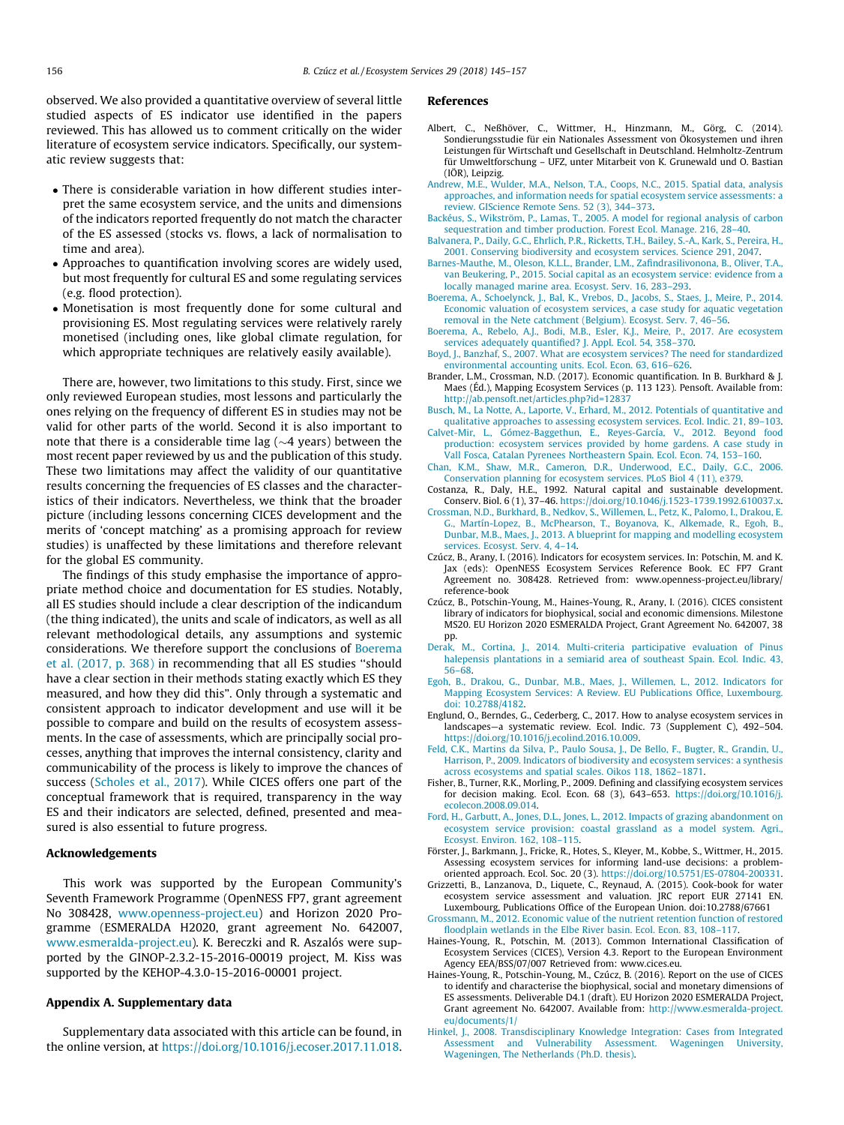<span id="page-11-0"></span>observed. We also provided a quantitative overview of several little studied aspects of ES indicator use identified in the papers reviewed. This has allowed us to comment critically on the wider literature of ecosystem service indicators. Specifically, our systematic review suggests that:

- There is considerable variation in how different studies interpret the same ecosystem service, and the units and dimensions of the indicators reported frequently do not match the character of the ES assessed (stocks vs. flows, a lack of normalisation to time and area).
- Approaches to quantification involving scores are widely used, but most frequently for cultural ES and some regulating services (e.g. flood protection).
- Monetisation is most frequently done for some cultural and provisioning ES. Most regulating services were relatively rarely monetised (including ones, like global climate regulation, for which appropriate techniques are relatively easily available).

There are, however, two limitations to this study. First, since we only reviewed European studies, most lessons and particularly the ones relying on the frequency of different ES in studies may not be valid for other parts of the world. Second it is also important to note that there is a considerable time lag ( $\sim$ 4 years) between the most recent paper reviewed by us and the publication of this study. These two limitations may affect the validity of our quantitative results concerning the frequencies of ES classes and the characteristics of their indicators. Nevertheless, we think that the broader picture (including lessons concerning CICES development and the merits of 'concept matching' as a promising approach for review studies) is unaffected by these limitations and therefore relevant for the global ES community.

The findings of this study emphasise the importance of appropriate method choice and documentation for ES studies. Notably, all ES studies should include a clear description of the indicandum (the thing indicated), the units and scale of indicators, as well as all relevant methodological details, any assumptions and systemic considerations. We therefore support the conclusions of Boerema et al. (2017, p. 368) in recommending that all ES studies ''should have a clear section in their methods stating exactly which ES they measured, and how they did this". Only through a systematic and consistent approach to indicator development and use will it be possible to compare and build on the results of ecosystem assessments. In the case of assessments, which are principally social processes, anything that improves the internal consistency, clarity and communicability of the process is likely to improve the chances of success [\(Scholes et al., 2017\)](#page-12-0). While CICES offers one part of the conceptual framework that is required, transparency in the way ES and their indicators are selected, defined, presented and measured is also essential to future progress.

# Acknowledgements

This work was supported by the European Community's Seventh Framework Programme (OpenNESS FP7, grant agreement No 308428, [www.openness-project.eu](http://www.openness-project.eu)) and Horizon 2020 Programme (ESMERALDA H2020, grant agreement No. 642007, [www.esmeralda-project.eu](http://www.esmeralda-project.eu)). K. Bereczki and R. Aszalós were supported by the GINOP-2.3.2-15-2016-00019 project, M. Kiss was supported by the KEHOP-4.3.0-15-2016-00001 project.

# Appendix A. Supplementary data

Supplementary data associated with this article can be found, in the online version, at [https://doi.org/10.1016/j.ecoser.2017.11.018.](https://doi.org/10.1016/j.ecoser.2017.11.018)

# References

- Albert, C., Neßhöver, C., Wittmer, H., Hinzmann, M., Görg, C. (2014). Sondierungsstudie für ein Nationales Assessment von Ökosystemen und ihren Leistungen für Wirtschaft und Gesellschaft in Deutschland. Helmholtz-Zentrum für Umweltforschung – UFZ, unter Mitarbeit von K. Grunewald und O. Bastian (IÖR), Leipzig.
- [Andrew, M.E., Wulder, M.A., Nelson, T.A., Coops, N.C., 2015. Spatial data, analysis](http://refhub.elsevier.com/S2212-0416(17)30307-8/h0010) [approaches, and information needs for spatial ecosystem service assessments: a](http://refhub.elsevier.com/S2212-0416(17)30307-8/h0010) [review. GIScience Remote Sens. 52 \(3\), 344–373.](http://refhub.elsevier.com/S2212-0416(17)30307-8/h0010)
- [Backéus, S., Wikström, P., Lamas, T., 2005. A model for regional analysis of carbon](http://refhub.elsevier.com/S2212-0416(17)30307-8/h0015) [sequestration and timber production. Forest Ecol. Manage. 216, 28–40](http://refhub.elsevier.com/S2212-0416(17)30307-8/h0015).
- [Balvanera, P., Daily, G.C., Ehrlich, P.R., Ricketts, T.H., Bailey, S.-A., Kark, S., Pereira, H.,](http://refhub.elsevier.com/S2212-0416(17)30307-8/h0020) [2001. Conserving biodiversity and ecosystem services. Science 291, 2047.](http://refhub.elsevier.com/S2212-0416(17)30307-8/h0020)
- [Barnes-Mauthe, M., Oleson, K.L.L., Brander, L.M., Zafindrasilivonona, B., Oliver, T.A.,](http://refhub.elsevier.com/S2212-0416(17)30307-8/h0025) [van Beukering, P., 2015. Social capital as an ecosystem service: evidence from a](http://refhub.elsevier.com/S2212-0416(17)30307-8/h0025)
- [locally managed marine area. Ecosyst. Serv. 16, 283–293](http://refhub.elsevier.com/S2212-0416(17)30307-8/h0025). [Boerema, A., Schoelynck, J., Bal, K., Vrebos, D., Jacobs, S., Staes, J., Meire, P., 2014.](http://refhub.elsevier.com/S2212-0416(17)30307-8/h0030) [Economic valuation of ecosystem services, a case study for aquatic vegetation](http://refhub.elsevier.com/S2212-0416(17)30307-8/h0030) [removal in the Nete catchment \(Belgium\). Ecosyst. Serv. 7, 46–56.](http://refhub.elsevier.com/S2212-0416(17)30307-8/h0030)
- [Boerema, A., Rebelo, A.J., Bodi, M.B., Esler, K.J., Meire, P., 2017. Are ecosystem](http://refhub.elsevier.com/S2212-0416(17)30307-8/h0035)
- [services adequately quantified? J. Appl. Ecol. 54, 358–370](http://refhub.elsevier.com/S2212-0416(17)30307-8/h0035). [Boyd, J., Banzhaf, S., 2007. What are ecosystem services? The need for standardized](http://refhub.elsevier.com/S2212-0416(17)30307-8/h0040) [environmental accounting units. Ecol. Econ. 63, 616–626.](http://refhub.elsevier.com/S2212-0416(17)30307-8/h0040)
- Brander, L.M., Crossman, N.D. (2017). Economic quantification. In B. Burkhard & J. Maes (Éd.), Mapping Ecosystem Services (p. 113 123). Pensoft. Available from: <http://ab.pensoft.net/articles.php?id=12837>
- [Busch, M., La Notte, A., Laporte, V., Erhard, M., 2012. Potentials of quantitative and](http://refhub.elsevier.com/S2212-0416(17)30307-8/h0050) [qualitative approaches to assessing ecosystem services. Ecol. Indic. 21, 89–103](http://refhub.elsevier.com/S2212-0416(17)30307-8/h0050).
- [Calvet-Mir, L., Gómez-Baggethun, E., Reyes-García, V., 2012. Beyond food](http://refhub.elsevier.com/S2212-0416(17)30307-8/h0055) [production: ecosystem services provided by home gardens. A case study in](http://refhub.elsevier.com/S2212-0416(17)30307-8/h0055) [Vall Fosca, Catalan Pyrenees Northeastern Spain. Ecol. Econ. 74, 153–160](http://refhub.elsevier.com/S2212-0416(17)30307-8/h0055).
- [Chan, K.M., Shaw, M.R., Cameron, D.R., Underwood, E.C., Daily, G.C., 2006.](http://refhub.elsevier.com/S2212-0416(17)30307-8/h0060) [Conservation planning for ecosystem services. PLoS Biol 4 \(11\), e379](http://refhub.elsevier.com/S2212-0416(17)30307-8/h0060).
- Costanza, R., Daly, H.E., 1992. Natural capital and sustainable development. Conserv. Biol. 6 (1), 37–46. <https://doi.org/10.1046/j.1523-1739.1992.610037.x>.
- [Crossman, N.D., Burkhard, B., Nedkov, S., Willemen, L., Petz, K., Palomo, I., Drakou, E.](http://refhub.elsevier.com/S2212-0416(17)30307-8/h0070) [G., Martín-Lopez, B., McPhearson, T., Boyanova, K., Alkemade, R., Egoh, B.,](http://refhub.elsevier.com/S2212-0416(17)30307-8/h0070) [Dunbar, M.B., Maes, J., 2013. A blueprint for mapping and modelling ecosystem](http://refhub.elsevier.com/S2212-0416(17)30307-8/h0070) [services. Ecosyst. Serv. 4, 4–14.](http://refhub.elsevier.com/S2212-0416(17)30307-8/h0070)
- Czúcz, B., Arany, I. (2016). Indicators for ecosystem services. In: Potschin, M. and K. Jax (eds): OpenNESS Ecosystem Services Reference Book. EC FP7 Grant Agreement no. 308428. Retrieved from: www.openness-project.eu/library/ reference-book
- Czúcz, B., Potschin-Young, M., Haines-Young, R., Arany, I. (2016). CICES consistent library of indicators for biophysical, social and economic dimensions. Milestone MS20. EU Horizon 2020 ESMERALDA Project, Grant Agreement No. 642007, 38 pp.
- [Derak, M., Cortina, J., 2014. Multi-criteria participative evaluation of Pinus](http://refhub.elsevier.com/S2212-0416(17)30307-8/h0085) [halepensis plantations in a semiarid area of southeast Spain. Ecol. Indic. 43,](http://refhub.elsevier.com/S2212-0416(17)30307-8/h0085) [56–68.](http://refhub.elsevier.com/S2212-0416(17)30307-8/h0085)
- [Egoh, B., Drakou, G., Dunbar, M.B., Maes, J., Willemen, L., 2012. Indicators for](http://refhub.elsevier.com/S2212-0416(17)30307-8/h0090) [Mapping Ecosystem Services: A Review. EU Publications Office, Luxembourg.](http://refhub.elsevier.com/S2212-0416(17)30307-8/h0090) [doi: 10.2788/4182.](http://refhub.elsevier.com/S2212-0416(17)30307-8/h0090)
- Englund, O., Berndes, G., Cederberg, C., 2017. How to analyse ecosystem services in landscapes—a systematic review. Ecol. Indic. 73 (Supplement C), 492–504. [https://doi.org/10.1016/j.ecolind.2016.10.009.](https://doi.org/10.1016/j.ecolind.2016.10.009)
- [Feld, C.K., Martins da Silva, P., Paulo Sousa, J., De Bello, F., Bugter, R., Grandin, U.,](http://refhub.elsevier.com/S2212-0416(17)30307-8/h0100) [Harrison, P., 2009. Indicators of biodiversity and ecosystem services: a synthesis](http://refhub.elsevier.com/S2212-0416(17)30307-8/h0100) [across ecosystems and spatial scales. Oikos 118, 1862–1871.](http://refhub.elsevier.com/S2212-0416(17)30307-8/h0100)
- Fisher, B., Turner, R.K., Morling, P., 2009. Defining and classifying ecosystem services for decision making. Ecol. Econ. 68 (3), 643–653. [https://doi.org/10.1016/j.](https://doi.org/10.1016/j.ecolecon.2008.09.014) [ecolecon.2008.09.014.](https://doi.org/10.1016/j.ecolecon.2008.09.014)
- [Ford, H., Garbutt, A., Jones, D.L., Jones, L., 2012. Impacts of grazing abandonment on](http://refhub.elsevier.com/S2212-0416(17)30307-8/h0110) [ecosystem service provision: coastal grassland as a model system. Agri.,](http://refhub.elsevier.com/S2212-0416(17)30307-8/h0110) [Ecosyst. Environ. 162, 108–115.](http://refhub.elsevier.com/S2212-0416(17)30307-8/h0110)
- Förster, J., Barkmann, J., Fricke, R., Hotes, S., Kleyer, M., Kobbe, S., Wittmer, H., 2015. Assessing ecosystem services for informing land-use decisions: a problemoriented approach. Ecol. Soc. 20 (3). <https://doi.org/10.5751/ES-07804-200331>.
- Grizzetti, B., Lanzanova, D., Liquete, C., Reynaud, A. (2015). Cook-book for water ecosystem service assessment and valuation. JRC report EUR 27141 EN. Luxembourg, Publications Office of the European Union. doi:10.2788/67661
- [Grossmann, M., 2012. Economic value of the nutrient retention function of restored](http://refhub.elsevier.com/S2212-0416(17)30307-8/h0125) [floodplain wetlands in the Elbe River basin. Ecol. Econ. 83, 108–117.](http://refhub.elsevier.com/S2212-0416(17)30307-8/h0125)
- Haines-Young, R., Potschin, M. (2013). Common International Classification of Ecosystem Services (CICES), Version 4.3. Report to the European Environment Agency EEA/BSS/07/007 Retrieved from: www.cices.eu.
- Haines-Young, R., Potschin-Young, M., Czúcz, B. (2016). Report on the use of CICES to identify and characterise the biophysical, social and monetary dimensions of ES assessments. Deliverable D4.1 (draft). EU Horizon 2020 ESMERALDA Project, Grant agreement No. 642007. Available from: [http://www.esmeralda-project.](http://www.esmeralda-project.eu/documents/1/) [eu/documents/1/](http://www.esmeralda-project.eu/documents/1/)
- [Hinkel, J., 2008. Transdisciplinary Knowledge Integration: Cases from Integrated](http://refhub.elsevier.com/S2212-0416(17)30307-8/h9000) [Assessment and Vulnerability Assessment. Wageningen University,](http://refhub.elsevier.com/S2212-0416(17)30307-8/h9000) [Wageningen, The Netherlands \(Ph.D. thesis\).](http://refhub.elsevier.com/S2212-0416(17)30307-8/h9000)